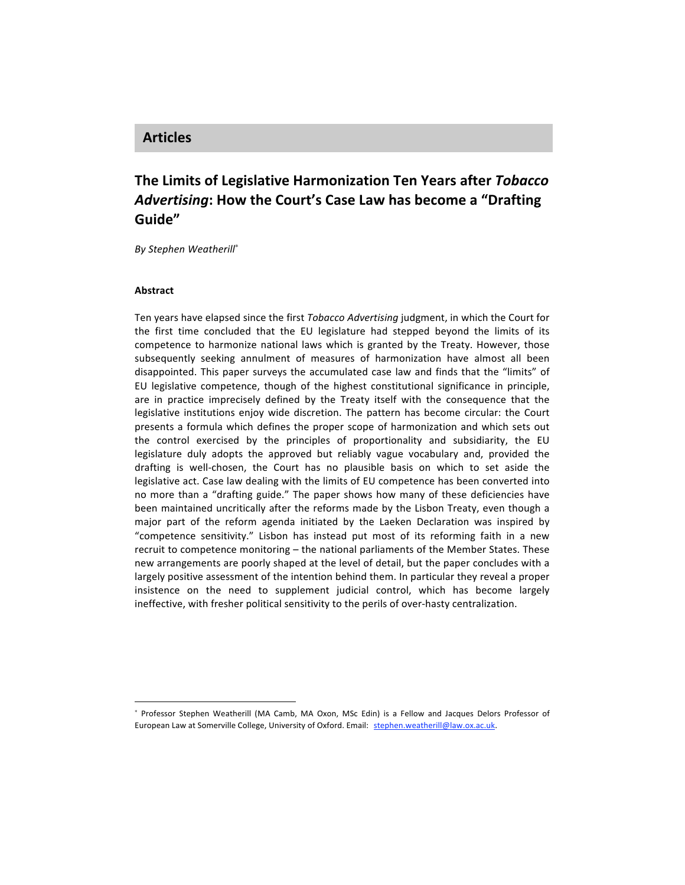# **Articles**

# **The
Limits
of
Legislative
Harmonization Ten
Years
after** *Tobacco Advertising***:
How
the
Court's
Case
Law
has
become
a
"Drafting Guide"**

*By
Stephen
Weatherill*<sup>∗</sup>

## **Abstract**

l

Ten years have elapsed since the first *Tobacco Advertising* judgment, in which the Court for the first time concluded that the EU legislature had stepped beyond the limits of its competence to harmonize national laws which is granted by the Treaty. However, those subsequently seeking annulment of measures of harmonization have almost all been disappointed. This paper surveys the accumulated case law and finds that the "limits" of EU legislative competence, though of the highest constitutional significance in principle, are in practice imprecisely defined by the Treaty itself with the consequence that the legislative institutions enjoy wide discretion. The pattern has become circular: the Court presents a formula which defines the proper scope of harmonization and which sets out the control exercised by the principles of proportionality and subsidiarity, the EU legislature duly adopts the approved but reliably vague vocabulary and, provided the drafting is well-chosen, the Court has no plausible basis on which to set aside the legislative act. Case law dealing with the limits of EU competence has been converted into no more than a "drafting guide." The paper shows how many of these deficiencies have been maintained uncritically after the reforms made by the Lisbon Treaty, even though a major part of the reform agenda initiated by the Laeken Declaration was inspired by "competence sensitivity." Lisbon has instead put most of its reforming faith in a new recruit to competence monitoring - the national parliaments of the Member States. These new
arrangements
are
poorly
shaped
at
the
level
of
detail,
but
the
paper
concludes
with
a largely positive assessment of the intention behind them. In particular they reveal a proper insistence on the need to supplement judicial control, which has become largely ineffective, with fresher political sensitivity to the perils of over-hasty centralization.

<sup>\*</sup> Professor Stephen Weatherill (MA Camb, MA Oxon, MSc Edin) is a Fellow and Jacques Delors Professor of European Law at Somerville College, University of Oxford. Email: stephen.weatherill@law.ox.ac.uk.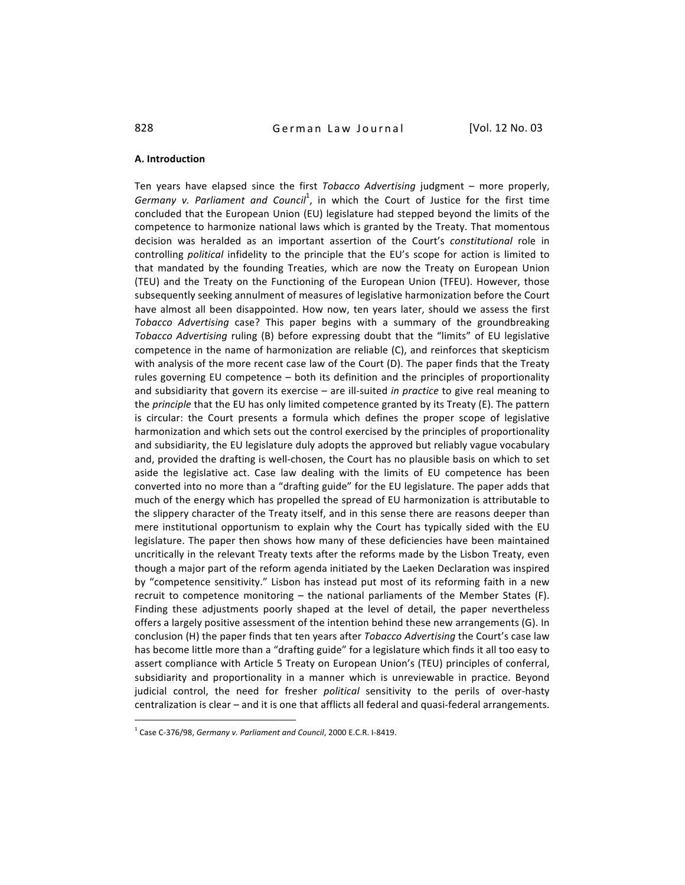#### **A.
Introduction**

Ten years have elapsed since the first Tobacco Advertising judgment – more properly, Germany v. Parliament and Council<sup>1</sup>, in which the Court of Justice for the first time concluded that the European Union (EU) legislature had stepped beyond the limits of the competence
to
harmonize
national
laws
which
is
granted
by
the
Treaty. That
momentous decision was heralded as an important assertion of the Court's constitutional role in controlling political infidelity to the principle that the EU's scope for action is limited to that mandated by the founding Treaties, which are now the Treaty on European Union (TEU) and the Treaty on the Functioning of the European Union (TFEU). However, those subsequently seeking annulment of measures of legislative harmonization before the Court have almost all been disappointed. How now, ten years later, should we assess the first Tobacco Advertising case? This paper begins with a summary of the groundbreaking Tobacco Advertising ruling (B) before expressing doubt that the "limits" of EU legislative competence in the name of harmonization are reliable (C), and reinforces that skepticism with analysis of the more recent case law of the Court (D). The paper finds that the Treaty rules governing EU competence - both its definition and the principles of proportionality and subsidiarity that govern its exercise – are ill-suited *in practice* to give real meaning to the *principle* that the EU has only limited competence granted by its Treaty (E). The pattern is
 circular:
 the
 Court
 presents
 a
 formula
 which
 defines
 the
 proper
 scope
 of
 legislative harmonization and which sets out the control exercised by the principles of proportionality and
subsidiarity,
the
EU
legislature
duly
adopts
the
approved
but
reliably
vague
vocabulary and, provided the drafting is well-chosen, the Court has no plausible basis on which to set aside the legislative act. Case law dealing with the limits of EU competence has been converted into no more than a "drafting guide" for the EU legislature. The paper adds that much
of
the
energy
which
has
propelled
the
spread
of
EU
harmonization
is
attributable
to the slippery character of the Treaty itself, and in this sense there are reasons deeper than mere institutional opportunism to explain why the Court has typically sided with the EU legislature. The paper then shows how many of these deficiencies have been maintained uncritically in the relevant Treaty texts after the reforms made by the Lisbon Treaty, even though a major part of the reform agenda initiated by the Laeken Declaration was inspired by "competence sensitivity." Lisbon has instead put most of its reforming faith in a new recruit to competence monitoring - the national parliaments of the Member States (F). Finding these adjustments poorly shaped at the level of detail, the paper nevertheless offers a largely positive assessment of the intention behind these new arrangements (G). In conclusion (H) the paper finds that ten years after *Tobacco Advertising* the Court's case law has become little more than a "drafting guide" for a legislature which finds it all too easy to assert
compliance
with
Article
5
Treaty
on
European
Union's
(TEU)
principles
of
conferral, subsidiarity and proportionality in a manner which is unreviewable in practice. Beyond judicial control, the need for fresher political sensitivity to the perils of over-hasty centralization is clear – and it is one that afflicts all federal and quasi-federal arrangements.

<sup>&</sup>lt;sup>1</sup> Case C-376/98, Germany v. Parliament and Council, 2000 E.C.R. I-8419.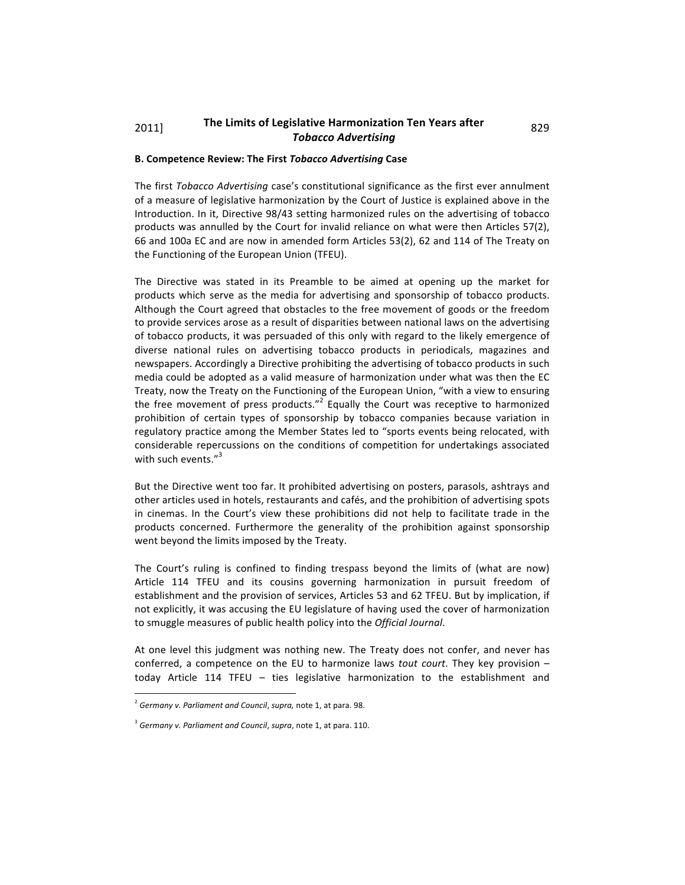# 2011] The Limits of Legislative Harmonization Ten Years after 829 *Tobacco
Advertising*

## **B.
Competence
Review:
The
First***Tobacco
Advertising***Case**

The first Tobacco Advertising case's constitutional significance as the first ever annulment of
a
measure
of
legislative
harmonization
by
the
Court
of
Justice
is
explained
above
in
the Introduction. In it, Directive 98/43 setting harmonized rules on the advertising of tobacco products was annulled by the Court for invalid reliance on what were then Articles 57(2), 66
and
100a
EC
and
are
now
in
amended
form
Articles
53(2),
62
and
114
of
The
Treaty
on the
Functioning
of
the
European
Union
(TFEU).

The Directive was stated in its Preamble to be aimed at opening up the market for products which serve as the media for advertising and sponsorship of tobacco products. Although the Court agreed that obstacles to the free movement of goods or the freedom to provide services arose as a result of disparities between national laws on the advertising of tobacco products, it was persuaded of this only with regard to the likely emergence of diverse national rules on advertising tobacco products in periodicals, magazines and newspapers. Accordingly a Directive prohibiting the advertising of tobacco products in such media could be adopted as a valid measure of harmonization under what was then the EC Treaty, now the Treaty on the Functioning of the European Union, "with a view to ensuring the free movement of press products."<sup>2</sup> Equally the Court was receptive to harmonized prohibition of certain types of sponsorship by tobacco companies because variation in regulatory practice among the Member States led to "sports events being relocated, with considerable repercussions on the conditions of competition for undertakings associated with such events."<sup>3</sup>

But
the
Directive
went
too
far. It
prohibited
advertising
on
posters,
parasols,
ashtrays
and other
articles
used
in
hotels,
restaurants
and
cafés,
and
the
prohibition
of
advertising
spots in cinemas. In the Court's view these prohibitions did not help to facilitate trade in the products
 concerned.
 Furthermore
 the
 generality
 of
 the
 prohibition
 against
 sponsorship went
beyond
the
limits
imposed
by
the
Treaty.

The Court's ruling is confined to finding trespass beyond the limits of (what are now) Article 114 TFEU and its cousins governing harmonization in pursuit freedom of establishment and the provision of services, Articles 53 and 62 TFEU. But by implication, if not explicitly, it was accusing the EU legislature of having used the cover of harmonization to
smuggle
measures
of
public
health
policy
into
the *Official
Journal*.

At one level this judgment was nothing new. The Treaty does not confer, and never has conferred, a competence on the EU to harmonize laws *tout court*. They key provision today Article 114 TFEU - ties legislative harmonization to the establishment and

 $\overline{a}$ 

<sup>&</sup>lt;sup>2</sup> Germany v. Parliament and Council, supra, note 1, at para. 98.

<sup>&</sup>lt;sup>3</sup> Germany v. Parliament and Council, supra, note 1, at para. 110.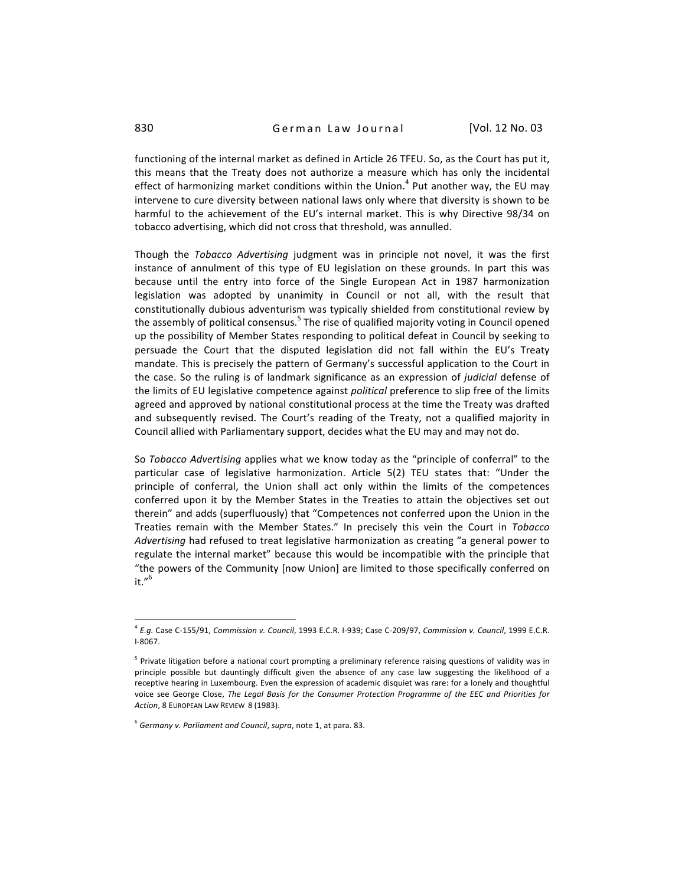functioning of the internal market as defined in Article 26 TFEU. So, as the Court has put it, this means that the Treaty does not authorize a measure which has only the incidental effect of harmonizing market conditions within the Union.<sup>4</sup> Put another way, the EU may intervene to cure diversity between national laws only where that diversity is shown to be harmful to the achievement of the EU's internal market. This is why Directive 98/34 on tobacco
advertising,
which
did
not
cross
that
threshold,
was
annulled.

Though the Tobacco Advertising judgment was in principle not novel, it was the first instance of annulment of this type of EU legislation on these grounds. In part this was because until the entry into force of the Single European Act in 1987 harmonization legislation was adopted by unanimity in Council or not all, with the result that constitutionally
dubious
adventurism
was
 typically
shielded
 from
constitutional
review
by the assembly of political consensus.<sup>5</sup> The rise of qualified majority voting in Council opened up the possibility of Member States responding to political defeat in Council by seeking to persuade the Court that the disputed legislation did not fall within the EU's Treaty mandate. This is precisely the pattern of Germany's successful application to the Court in the case. So the ruling is of landmark significance as an expression of *judicial* defense of the limits of EU legislative competence against *political* preference to slip free of the limits agreed and approved by national constitutional process at the time the Treaty was drafted and subsequently revised. The Court's reading of the Treaty, not a qualified majority in Council allied with Parliamentary support, decides what the EU may and may not do.

So Tobacco Advertising applies what we know today as the "principle of conferral" to the particular case of legislative harmonization. Article 5(2) TEU states that: "Under the principle of conferral, the Union shall act only within the limits of the competences conferred upon it by the Member States in the Treaties to attain the objectives set out therein" and adds (superfluously) that "Competences not conferred upon the Union in the Treaties remain with the Member States." In precisely this vein the Court in Tobacco Advertising had refused to treat legislative harmonization as creating "a general power to regulate the internal market" because this would be incompatible with the principle that "the powers of the Community [now Union] are limited to those specifically conferred on it." 6

<sup>&</sup>lt;sup>4</sup> E.g. Case C-155/91, Commission v. Council, 1993 E.C.R. I-939; Case C-209/97, Commission v. Council, 1999 E.C.R. I‐8067.

<sup>&</sup>lt;sup>5</sup> Private litigation before a national court prompting a preliminary reference raising questions of validity was in principle possible but dauntingly difficult given the absence of any case law suggesting the likelihood of a receptive hearing in Luxembourg. Even the expression of academic disquiet was rare: for a lonely and thoughtful voice see George Close, The Legal Basis for the Consumer Protection Programme of the EEC and Priorities for Action, 8 EUROPEAN LAW REVIEW 8 (1983).

<sup>&</sup>lt;sup>6</sup> Germany v. Parliament and Council, supra, note 1, at para. 83.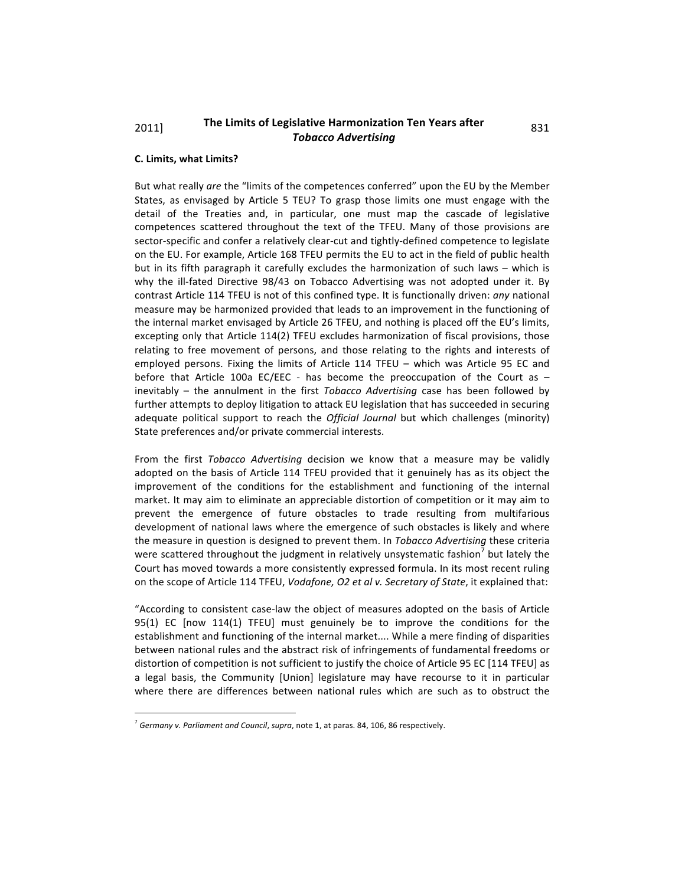# 2011] The Limits of Legislative Harmonization Ten Years after 831 *Tobacco
Advertising*

## **C.
Limits,
what
Limits?**

But what really are the "limits of the competences conferred" upon the EU by the Member States, as envisaged by Article 5 TEU? To grasp those limits one must engage with the detail of the Treaties and, in particular, one must map the cascade of legislative competences scattered throughout the text of the TFEU. Many of those provisions are sector-specific and confer a relatively clear-cut and tightly-defined competence to legislate on the EU. For example, Article 168 TFEU permits the EU to act in the field of public health but in its fifth paragraph it carefully excludes the harmonization of such laws – which is why the ill-fated Directive 98/43 on Tobacco Advertising was not adopted under it. By contrast Article 114 TFEU is not of this confined type. It is functionally driven: any national measure may be harmonized provided that leads to an improvement in the functioning of the internal market envisaged by Article 26 TFEU, and nothing is placed off the EU's limits, excepting only that Article 114(2) TFEU excludes harmonization of fiscal provisions, those relating to free movement of persons, and those relating to the rights and interests of employed persons. Fixing the limits of Article 114 TFEU - which was Article 95 EC and before that Article 100a EC/EEC - has become the preoccupation of the Court as inevitably – the annulment in the first *Tobacco Advertising* case has been followed by further attempts to deploy litigation to attack EU legislation that has succeeded in securing adequate political support to reach the *Official Journal* but which challenges (minority) State
preferences
and/or
private
commercial
interests.

From the first Tobacco Advertising decision we know that a measure may be validly adopted on the basis of Article 114 TFEU provided that it genuinely has as its object the improvement of the conditions for the establishment and functioning of the internal market. It may aim to eliminate an appreciable distortion of competition or it may aim to prevent the emergence of future obstacles to trade resulting from multifarious development of national laws where the emergence of such obstacles is likely and where the measure in question is designed to prevent them. In Tobacco Advertising these criteria were scattered throughout the judgment in relatively unsystematic fashion<sup>7</sup> but lately the Court has moved towards a more consistently expressed formula. In its most recent ruling on the scope of Article 114 TFEU, Vodafone, O2 et al v. Secretary of State, it explained that:

"According to consistent case-law the object of measures adopted on the basis of Article 95(1) EC [now 114(1) TFEU] must genuinely be to improve the conditions for the establishment and functioning of the internal market.... While a mere finding of disparities between national rules and the abstract risk of infringements of fundamental freedoms or distortion of competition is not sufficient to justify the choice of Article 95 EC [114 TFEU] as a legal basis, the Community [Union] legislature may have recourse to it in particular where there are differences between national rules which are such as to obstruct the

<sup>&</sup>lt;sup>7</sup> Germany v. Parliament and Council, supra, note 1, at paras. 84, 106, 86 respectively.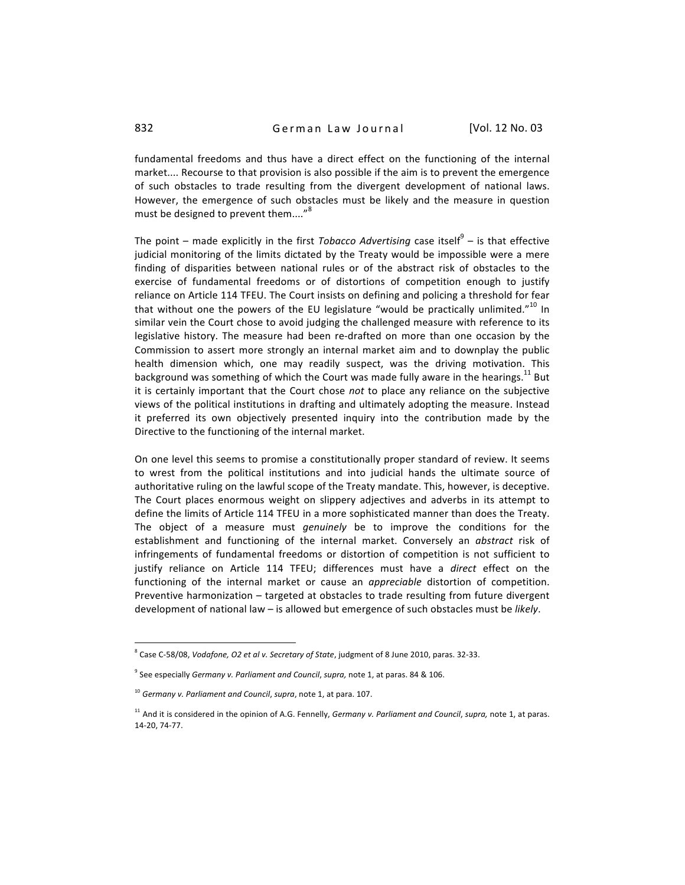fundamental freedoms and thus have a direct effect on the functioning of the internal market.... Recourse to that provision is also possible if the aim is to prevent the emergence of such obstacles to trade resulting from the divergent development of national laws. However, the emergence of such obstacles must be likely and the measure in question must be designed to prevent them...."<sup>8</sup>

The point – made explicitly in the first Tobacco Advertising case itself<sup>9</sup> – is that effective judicial monitoring of the limits dictated by the Treaty would be impossible were a mere finding of disparities between national rules or of the abstract risk of obstacles to the exercise of fundamental freedoms or of distortions of competition enough to justify reliance on Article 114 TFEU. The Court insists on defining and policing a threshold for fear that without one the powers of the EU legislature "would be practically unlimited."<sup>10</sup> In similar vein the Court chose to avoid judging the challenged measure with reference to its legislative history. The measure had been re-drafted on more than one occasion by the Commission to assert more strongly an internal market aim and to downplay the public health dimension which, one may readily suspect, was the driving motivation. This background was something of which the Court was made fully aware in the hearings.<sup>11</sup> But it is certainly important that the Court chose not to place any reliance on the subjective views of the political institutions in drafting and ultimately adopting the measure. Instead it preferred its own objectively presented inquiry into the contribution made by the Directive to the functioning of the internal market.

On one level this seems to promise a constitutionally proper standard of review. It seems to wrest from the political institutions and into judicial hands the ultimate source of authoritative ruling on the lawful scope of the Treaty mandate. This, however, is deceptive. The Court places enormous weight on slippery adjectives and adverbs in its attempt to define
the
limits
of
Article
114
TFEU
in
a
more
sophisticated
manner
than
does
the
Treaty. The object of a measure must *genuinely* be to improve the conditions for the establishment and functioning of the internal market. Conversely an abstract risk of infringements of fundamental freedoms or distortion of competition is not sufficient to justify reliance on Article 114 TFEU; differences must have a *direct* effect on the functioning of the internal market or cause an *appreciable* distortion of competition. Preventive harmonization – targeted at obstacles to trade resulting from future divergent development of national law - is allowed but emergence of such obstacles must be likely.

 $\overline{a}$ 

<sup>&</sup>lt;sup>8</sup> Case C-58/08, *Vodafone, O2 et al v. Secretary of State*, judgment of 8 June 2010, paras. 32-33.

<sup>&</sup>lt;sup>9</sup> See especially Germany v. Parliament and Council, supra, note 1, at paras. 84 & 106.

<sup>&</sup>lt;sup>10</sup> Germany v. Parliament and Council, supra, note 1, at para. 107.

<sup>&</sup>lt;sup>11</sup> And it is considered in the opinion of A.G. Fennelly, *Germany v. Parliament and Council*, supra, note 1, at paras. 14‐20,
74‐77.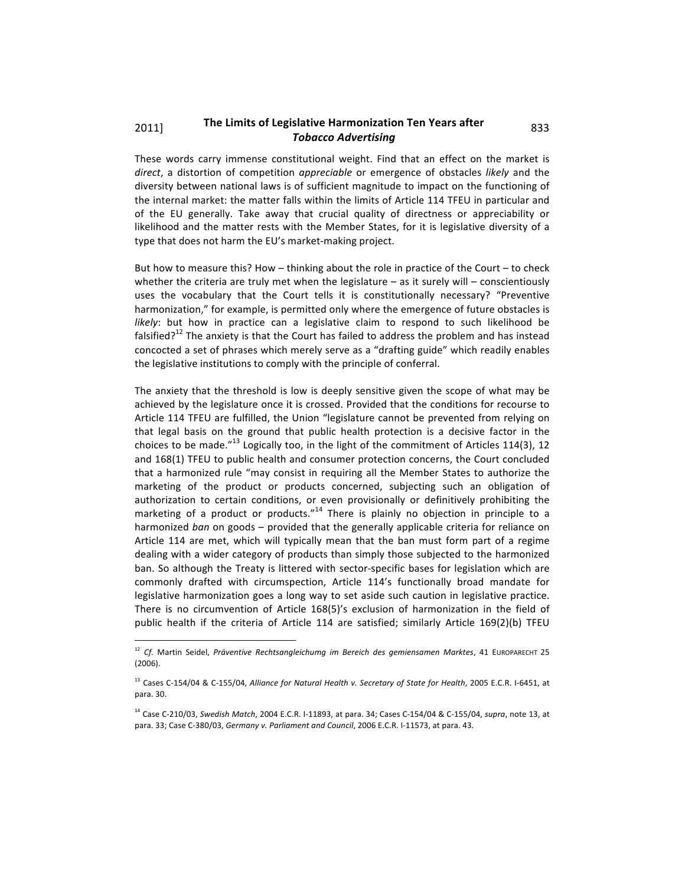# 2011] The Limits of Legislative Harmonization Ten Years after 833 *Tobacco
Advertising*

These words carry immense constitutional weight. Find that an effect on the market is direct, a distortion of competition *appreciable* or emergence of obstacles likely and the diversity between national laws is of sufficient magnitude to impact on the functioning of the internal market: the matter falls within the limits of Article 114 TFEU in particular and of the EU generally. Take away that crucial quality of directness or appreciability or likelihood and the matter rests with the Member States, for it is legislative diversity of a type that does not harm the EU's market-making project.

But how to measure this? How  $-$  thinking about the role in practice of the Court  $-$  to check whether the criteria are truly met when the legislature - as it surely will - conscientiously uses the vocabulary that the Court tells it is constitutionally necessary? "Preventive harmonization," for example, is permitted only where the emergence of future obstacles is likely: but how in practice can a legislative claim to respond to such likelihood be falsified? $12$ <sup>2</sup> The anxiety is that the Court has failed to address the problem and has instead concocted a set of phrases which merely serve as a "drafting guide" which readily enables the legislative institutions to comply with the principle of conferral.

The anxiety that the threshold is low is deeply sensitive given the scope of what may be achieved by the legislature once it is crossed. Provided that the conditions for recourse to Article 114 TFEU are fulfilled, the Union "legislature cannot be prevented from relying on that legal basis on the ground that public health protection is a decisive factor in the choices to be made."<sup>13</sup> Logically too, in the light of the commitment of Articles 114(3), 12 and 168(1) TFEU to public health and consumer protection concerns, the Court concluded that a harmonized rule "may consist in requiring all the Member States to authorize the marketing of the product or products concerned, subjecting such an obligation of authorization to certain conditions, or even provisionally or definitively prohibiting the marketing of a product or products."<sup>14</sup> There is plainly no objection in principle to a harmonized ban on goods - provided that the generally applicable criteria for reliance on Article 114 are met, which will typically mean that the ban must form part of a regime dealing
with
a
wider
category
of
products
than
simply
those
subjected
to
the
harmonized ban. So although the Treaty is littered with sector-specific bases for legislation which are commonly drafted with circumspection, Article 114's functionally broad mandate for legislative harmonization goes a long way to set aside such caution in legislative practice. There is no circumvention of Article 168(5)'s exclusion of harmonization in the field of public health if the criteria of Article 114 are satisfied; similarly Article 169(2)(b) TFEU

<sup>&</sup>lt;sup>12</sup> Cf. Martin Seidel, Präventive Rechtsangleichumg im Bereich des gemiensamen Marktes, 41 EUROPARECHT 25 (2006).

<sup>&</sup>lt;sup>13</sup> Cases C-154/04 & C-155/04, Alliance for Natural Health v. Secretary of State for Health, 2005 E.C.R. I-6451, at para.
30.

<sup>&</sup>lt;sup>14</sup> Case C-210/03, Swedish Match, 2004 E.C.R. I-11893, at para. 34; Cases C-154/04 & C-155/04, supra, note 13, at para. 33; Case C-380/03, Germany v. Parliament and Council, 2006 E.C.R. I-11573, at para. 43.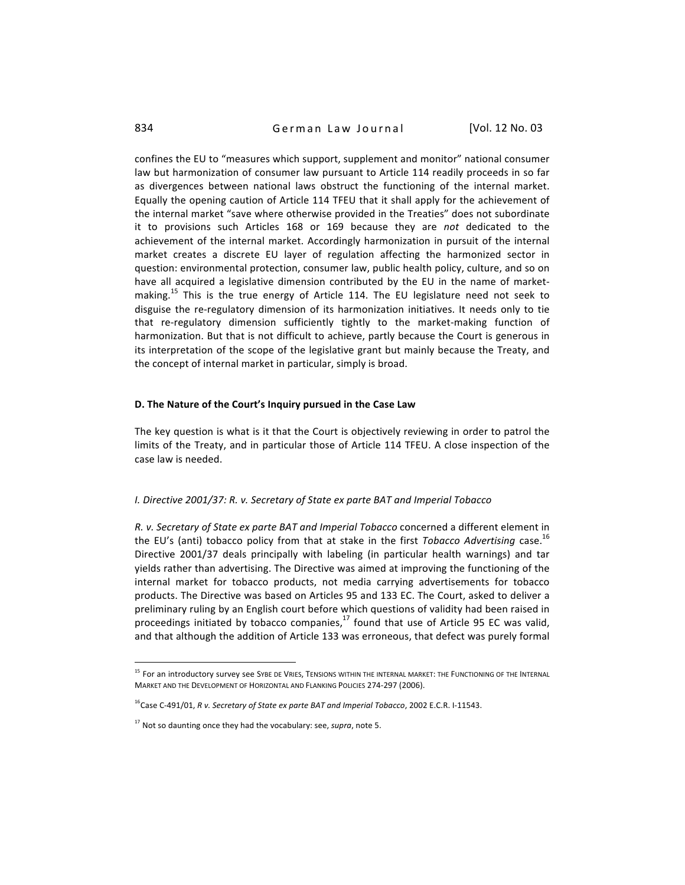# 834 **German Law Journal** [Vol. 12 No. 03]

confines the EU to "measures which support, supplement and monitor" national consumer law but harmonization of consumer law pursuant to Article 114 readily proceeds in so far as divergences between national laws obstruct the functioning of the internal market. Equally the opening caution of Article 114 TFEU that it shall apply for the achievement of the internal market "save where otherwise provided in the Treaties" does not subordinate it to provisions such Articles 168 or 169 because they are not dedicated to the achievement of the internal market. Accordingly harmonization in pursuit of the internal market creates a discrete EU layer of regulation affecting the harmonized sector in question:
environmental
protection,
consumer
law,
public
health
policy,
culture,
and
so
on have all acquired a legislative dimension contributed by the EU in the name of marketmaking.<sup>15</sup> This is the true energy of Article 114. The EU legislature need not seek to disguise the re-regulatory dimension of its harmonization initiatives. It needs only to tie that re-regulatory dimension sufficiently tightly to the market-making function of harmonization. But that is not difficult to achieve, partly because the Court is generous in its interpretation of the scope of the legislative grant but mainly because the Treaty, and the
concept
of
internal
market
in
particular,
simply
is
broad.

#### D. The Nature of the Court's Inquiry pursued in the Case Law

The key question is what is it that the Court is objectively reviewing in order to patrol the limits of the Treaty, and in particular those of Article 114 TFEU. A close inspection of the case
law
is
needed.

#### *I.
Directive
2001/37:
R.
v.
Secretary
of
State
ex
parte
BAT
and
Imperial
Tobacco*

R. v. Secretary of State ex parte BAT and Imperial Tobacco concerned a different element in the EU's (anti) tobacco policy from that at stake in the first Tobacco Advertising case.<sup>16</sup> Directive 2001/37 deals principally with labeling (in particular health warnings) and tar yields rather than advertising. The Directive was aimed at improving the functioning of the internal
 market
 for
 tobacco
 products,
 not
 media
 carrying
 advertisements
 for
 tobacco products. The Directive was based on Articles 95 and 133 EC. The Court, asked to deliver a preliminary ruling by an English court before which questions of validity had been raised in proceedings initiated by tobacco companies,<sup>17</sup> found that use of Article 95 EC was valid, and that although the addition of Article 133 was erroneous, that defect was purely formal

<sup>&</sup>lt;sup>15</sup> For an introductory survey see SYBE DE VRIES, TENSIONS WITHIN THE INTERNAL MARKET: THE FUNCTIONING OF THE INTERNAL MARKET AND THE DEVELOPMENT OF HORIZONTAL AND FLANKING POLICIES 274-297 (2006).

<sup>&</sup>lt;sup>16</sup>Case C-491/01, R v. Secretary of State ex parte BAT and Imperial Tobacco, 2002 E.C.R. I-11543.

<sup>&</sup>lt;sup>17</sup> Not so daunting once they had the vocabulary: see, supra, note 5.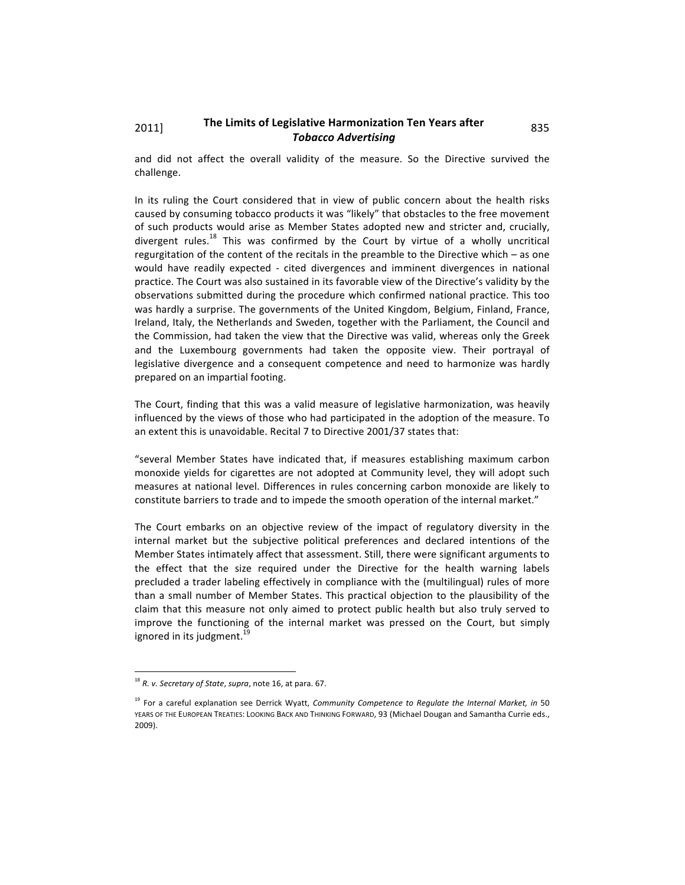## 2011] The Limits of Legislative Harmonization Ten Years after 835 *Tobacco
Advertising*

and did not affect the overall validity of the measure. So the Directive survived the challenge.

In its ruling the Court considered that in view of public concern about the health risks caused by consuming tobacco products it was "likely" that obstacles to the free movement of such products would arise as Member States adopted new and stricter and, crucially, divergent rules.<sup>18</sup> This was confirmed by the Court by virtue of a wholly uncritical regurgitation of the content of the recitals in the preamble to the Directive which - as one would have readily expected - cited divergences and imminent divergences in national practice. The Court was also sustained in its favorable view of the Directive's validity by the observations
submitted
during
the
procedure
which
confirmed
national
practice.
This
too was hardly a surprise. The governments of the United Kingdom, Belgium, Finland, France, Ireland, Italy, the Netherlands and Sweden, together with the Parliament, the Council and the Commission, had taken the view that the Directive was valid, whereas only the Greek and the Luxembourg governments had taken the opposite view. Their portrayal of legislative divergence and a consequent competence and need to harmonize was hardly prepared
on
an
impartial
footing.

The Court, finding that this was a valid measure of legislative harmonization, was heavily influenced by the views of those who had participated in the adoption of the measure. To an extent this is unavoidable. Recital 7 to Directive 2001/37 states that:

"several Member States have indicated that, if measures establishing maximum carbon monoxide yields for cigarettes are not adopted at Community level, they will adopt such measures
at
national
level.
Differences
in
 rules
concerning
carbon
monoxide
are
likely
 to constitute barriers to trade and to impede the smooth operation of the internal market."

The Court embarks on an objective review of the impact of regulatory diversity in the internal market but the subjective political preferences and declared intentions of the Member States intimately affect that assessment. Still, there were significant arguments to the effect that the size required under the Directive for the health warning labels precluded a trader labeling effectively in compliance with the (multilingual) rules of more than a small number of Member States. This practical objection to the plausibility of the claim that this measure not only aimed to protect public health but also truly served to improve the functioning of the internal market was pressed on the Court, but simply ignored in its judgment.<sup>19</sup>

<sup>&</sup>lt;sup>18</sup> R. v. Secretary of State, supra, note 16, at para. 67.

<sup>&</sup>lt;sup>19</sup> For a careful explanation see Derrick Wyatt, Community Competence to Regulate the Internal Market, in 50 YEARS OF THE EUROPEAN TREATIES: LOOKING BACK AND THINKING FORWARD, 93 (Michael Dougan and Samantha Currie eds., 2009).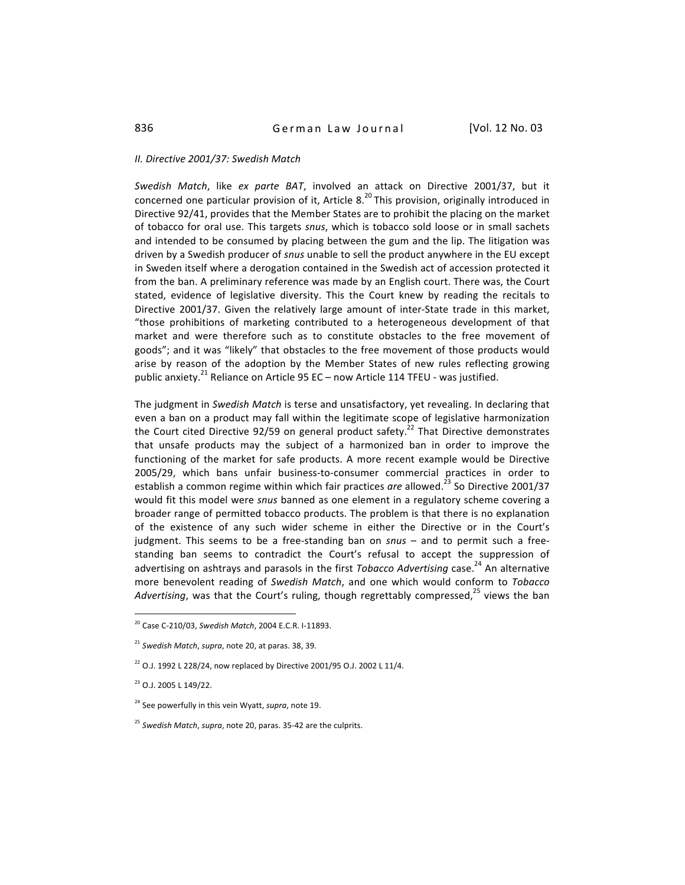#### *II.
Directive
2001/37:
Swedish
Match*

Swedish Match, like ex parte BAT, involved an attack on Directive 2001/37, but it concerned one particular provision of it, Article 8.<sup>20</sup> This provision, originally introduced in Directive
92/41,
provides
that
the
Member
States
are
to
prohibit
the
placing
on
the
market of tobacco for oral use. This targets snus, which is tobacco sold loose or in small sachets and intended to be consumed by placing between the gum and the lip. The litigation was driven by a Swedish producer of *snus* unable to sell the product anywhere in the EU except in Sweden itself where a derogation contained in the Swedish act of accession protected it from the ban. A preliminary reference was made by an English court. There was, the Court stated, evidence of legislative diversity. This the Court knew by reading the recitals to Directive 2001/37. Given the relatively large amount of inter-State trade in this market, "those prohibitions of marketing contributed to a heterogeneous development of that market and were therefore such as to constitute obstacles to the free movement of goods"; and it was "likely" that obstacles to the free movement of those products would arise by reason of the adoption by the Member States of new rules reflecting growing public anxiety.<sup>21</sup> Reliance on Article 95 EC – now Article 114 TFEU - was justified.

The judgment in Swedish Match is terse and unsatisfactory, yet revealing. In declaring that even a ban on a product may fall within the legitimate scope of legislative harmonization the Court cited Directive 92/59 on general product safety.<sup>22</sup> That Directive demonstrates that unsafe products may the subject of a harmonized ban in order to improve the functioning of the market for safe products. A more recent example would be Directive 2005/29, which bans unfair business-to-consumer commercial practices in order to establish a common regime within which fair practices are allowed.<sup>23</sup> So Directive 2001/37 would fit this model were *snus* banned as one element in a regulatory scheme covering a broader
range
of
permitted
tobacco
products.
The
problem
is
that
there
is
no
explanation of the existence of any such wider scheme in either the Directive or in the Court's judgment. This seems to be a free-standing ban on snus - and to permit such a freestanding ban seems to contradict the Court's refusal to accept the suppression of advertising on ashtrays and parasols in the first Tobacco Advertising case.<sup>24</sup> An alternative more benevolent reading of Swedish Match, and one which would conform to Tobacco Advertising, was that the Court's ruling, though regrettably compressed,<sup>25</sup> views the ban

<sup>20</sup>Case
C‐210/03, *Swedish
Match*,
2004
E.C.R.
I‐11893.

<sup>&</sup>lt;sup>21</sup> Swedish Match, supra, note 20, at paras. 38, 39.

 $^{22}$  O.J. 1992 L 228/24, now replaced by Directive 2001/95 O.J. 2002 L 11/4.

<sup>23</sup>O.J.
2005
L
149/22.

<sup>&</sup>lt;sup>24</sup> See powerfully in this vein Wyatt, *supra*, note 19.

<sup>&</sup>lt;sup>25</sup> Swedish Match, supra, note 20, paras. 35-42 are the culprits.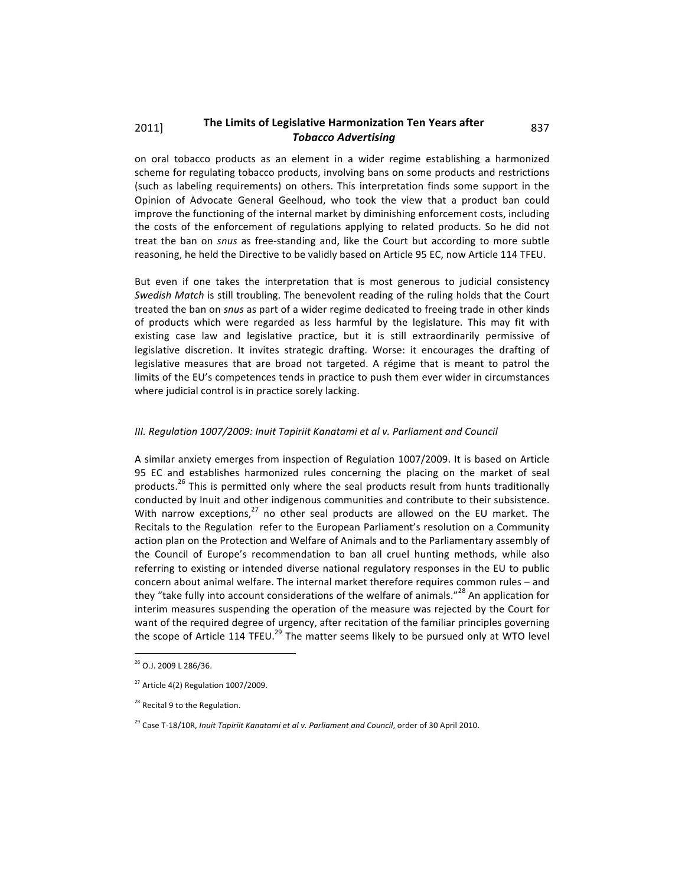## 2011] The Limits of Legislative Harmonization Ten Years after 837 *Tobacco
Advertising*

on
 oral
 tobacco
 products
 as
 an
 element
 in
 a
 wider
 regime
 establishing
 a
 harmonized scheme
for
regulating
tobacco
products,
involving
bans
on
some
products
and
restrictions (such as labeling requirements) on others. This interpretation finds some support in the Opinion
 of
 Advocate
 General
 Geelhoud,
 who
 took
 the
 view
 that
 a
 product
 ban
 could improve the functioning of the internal market by diminishing enforcement costs, including the costs of the enforcement of regulations applying to related products. So he did not treat the ban on *snus* as free-standing and, like the Court but according to more subtle reasoning, he held the Directive to be validly based on Article 95 EC, now Article 114 TFEU.

But even if one takes the interpretation that is most generous to judicial consistency Swedish Match is still troubling. The benevolent reading of the ruling holds that the Court treated the ban on *snus* as part of a wider regime dedicated to freeing trade in other kinds of products which were regarded as less harmful by the legislature. This may fit with existing case law and legislative practice, but it is still extraordinarily permissive of legislative discretion. It invites strategic drafting. Worse: it encourages the drafting of legislative measures that are broad not targeted. A régime that is meant to patrol the limits of the EU's competences tends in practice to push them ever wider in circumstances where judicial control is in practice sorely lacking.

## III. Regulation 1007/2009: Inuit Tapiriit Kanatami et al v. Parliament and Council

A similar anxiety emerges from inspection of Regulation 1007/2009. It is based on Article 95 EC and establishes harmonized rules concerning the placing on the market of seal products.<sup>26</sup> This is permitted only where the seal products result from hunts traditionally conducted by Inuit and other indigenous communities and contribute to their subsistence. With narrow exceptions,<sup>27</sup> no other seal products are allowed on the EU market. The Recitals to the Regulation refer to the European Parliament's resolution on a Community action plan on the Protection and Welfare of Animals and to the Parliamentary assembly of the Council of Europe's recommendation to ban all cruel hunting methods, while also referring to existing or intended diverse national regulatory responses in the EU to public concern
about
animal
welfare.
The
internal
market
therefore
requires
common
rules
–
and they "take fully into account considerations of the welfare of animals."<sup>28</sup> An application for interim measures suspending the operation of the measure was rejected by the Court for want of the required degree of urgency, after recitation of the familiar principles governing the scope of Article 114 TFEU.<sup>29</sup> The matter seems likely to be pursued only at WTO level

<sup>&</sup>lt;sup>26</sup> O.J. 2009 L 286/36.

 $27$  Article 4(2) Regulation 1007/2009.

<sup>&</sup>lt;sup>28</sup> Recital 9 to the Regulation.

<sup>&</sup>lt;sup>29</sup> Case T-18/10R, Inuit Tapiriit Kanatami et al v. Parliament and Council, order of 30 April 2010.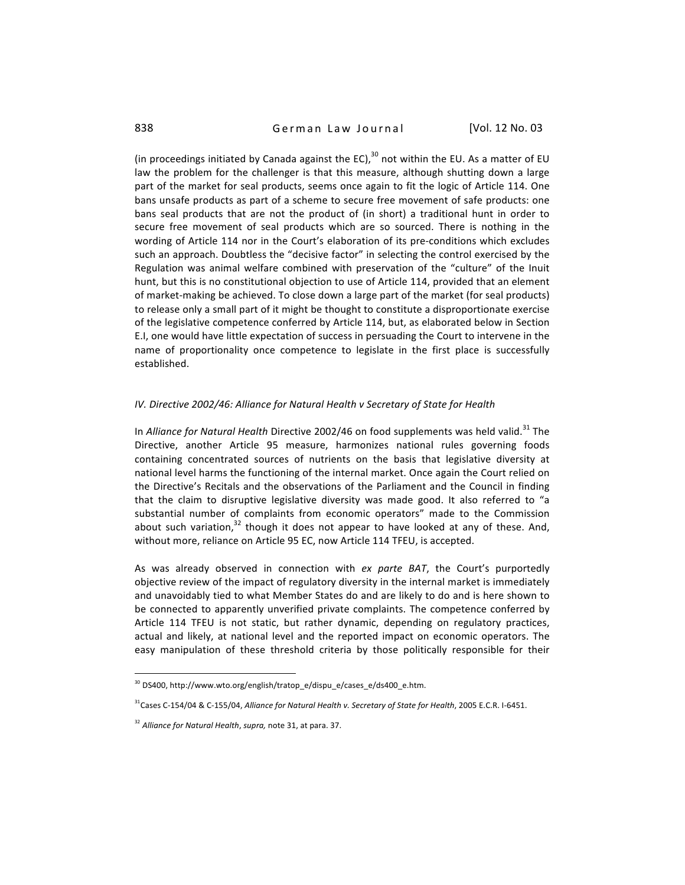(in proceedings initiated by Canada against the EC), $^{30}$  not within the EU. As a matter of EU law the problem for the challenger is that this measure, although shutting down a large part of the market for seal products, seems once again to fit the logic of Article 114. One bans
unsafe
products
as
part
of
a
scheme
to
secure
free
movement
of
safe
products:
one bans seal products that are not the product of (in short) a traditional hunt in order to secure free movement of seal products which are so sourced. There is nothing in the wording of Article 114 nor in the Court's elaboration of its pre-conditions which excludes such an approach. Doubtless the "decisive factor" in selecting the control exercised by the Regulation was animal welfare combined with preservation of the "culture" of the Inuit hunt, but this is no constitutional objection to use of Article 114, provided that an element of market-making be achieved. To close down a large part of the market (for seal products) to release only a small part of it might be thought to constitute a disproportionate exercise of the legislative competence conferred by Article 114, but, as elaborated below in Section E.I, one would have little expectation of success in persuading the Court to intervene in the name of proportionality once competence to legislate in the first place is successfully established.

## IV. Directive 2002/46: Alliance for Natural Health v Secretary of State for Health

In *Alliance for Natural Health* Directive 2002/46 on food supplements was held valid.<sup>31</sup> The Directive,
 another
 Article
 95
 measure, harmonizes
 national
 rules
 governing
 foods containing concentrated sources of nutrients on the basis that legislative diversity at national level harms the functioning of the internal market. Once again the Court relied on the Directive's Recitals and the observations of the Parliament and the Council in finding that the claim to disruptive legislative diversity was made good. It also referred to "a substantial number of complaints from economic operators" made to the Commission about such variation,  $32$  though it does not appear to have looked at any of these. And, without more, reliance on Article 95 EC, now Article 114 TFEU, is accepted.

As was already observed in connection with ex parte BAT, the Court's purportedly objective review of the impact of regulatory diversity in the internal market is immediately and unavoidably tied to what Member States do and are likely to do and is here shown to be connected to apparently unverified private complaints. The competence conferred by Article 114 TFEU is not static, but rather dynamic, depending on regulatory practices, actual and likely, at national level and the reported impact on economic operators. The easy manipulation of these threshold criteria by those politically responsible for their

<sup>&</sup>lt;sup>30</sup> DS400, http://www.wto.org/english/tratop\_e/dispu\_e/cases\_e/ds400\_e.htm.

<sup>&</sup>lt;sup>31</sup>Cases C-154/04 & C-155/04, Alliance for Natural Health v. Secretary of State for Health, 2005 E.C.R. I-6451.

<sup>&</sup>lt;sup>32</sup> Alliance for Natural Health, supra, note 31, at para. 37.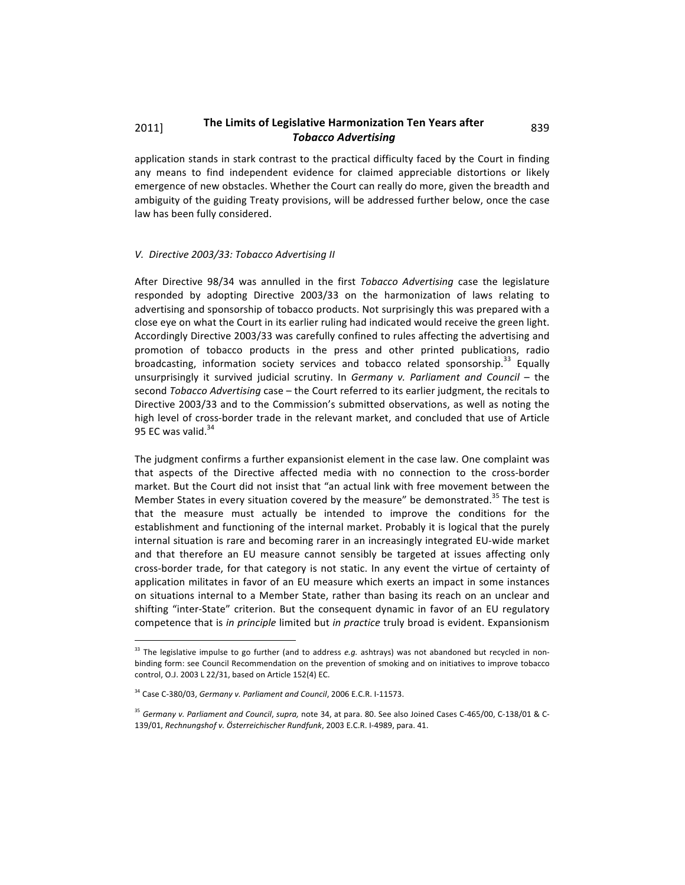# 2011] The Limits of Legislative Harmonization Ten Years after 839 *Tobacco
Advertising*

application stands in stark contrast to the practical difficulty faced by the Court in finding any means to find independent evidence for claimed appreciable distortions or likely emergence of new obstacles. Whether the Court can really do more, given the breadth and ambiguity of the guiding Treaty provisions, will be addressed further below, once the case law
has
been
fully
considered.

#### *V.

Directive
2003/33:
Tobacco
Advertising
II*

After Directive 98/34 was annulled in the first Tobacco Advertising case the legislature responded by adopting Directive 2003/33 on the harmonization of laws relating to advertising and sponsorship of tobacco products. Not surprisingly this was prepared with a close eye on what the Court in its earlier ruling had indicated would receive the green light. Accordingly Directive 2003/33 was carefully confined to rules affecting the advertising and promotion of tobacco products in the press and other printed publications, radio broadcasting, information society services and tobacco related sponsorship.<sup>33</sup> Equally unsurprisingly it survived judicial scrutiny. In Germany v. Parliament and Council - the second *Tobacco Advertising* case – the Court referred to its earlier judgment, the recitals to Directive 2003/33 and to the Commission's submitted observations, as well as noting the high level of cross-border trade in the relevant market, and concluded that use of Article 95 EC was valid.<sup>34</sup>

The judgment confirms a further expansionist element in the case law. One complaint was that aspects of the Directive affected media with no connection to the cross-border market. But the Court did not insist that "an actual link with free movement between the Member States in every situation covered by the measure" be demonstrated.<sup>35</sup> The test is that the measure must actually be intended to improve the conditions for the establishment and functioning of the internal market. Probably it is logical that the purely internal situation is rare and becoming rarer in an increasingly integrated EU-wide market and that therefore an EU measure cannot sensibly be targeted at issues affecting only cross-border trade, for that category is not static. In any event the virtue of certainty of application militates in favor of an EU measure which exerts an impact in some instances on situations internal to a Member State, rather than basing its reach on an unclear and shifting "inter-State" criterion. But the consequent dynamic in favor of an EU regulatory competence that is *in principle* limited but *in practice* truly broad is evident. Expansionism

<sup>&</sup>lt;sup>33</sup> The legislative impulse to go further (and to address e.g. ashtrays) was not abandoned but recycled in nonbinding form: see Council Recommendation on the prevention of smoking and on initiatives to improve tobacco control,
O.J.
2003
L
22/31,
based
on
Article
152(4)
EC.

<sup>&</sup>lt;sup>34</sup> Case C-380/03, Germany v. Parliament and Council, 2006 E.C.R. I-11573.

<sup>&</sup>lt;sup>35</sup> Germany v. Parliament and Council, supra, note 34, at para. 80. See also Joined Cases C-465/00, C-138/01 & C-139/01, *Rechnungshof v.
Österreichischer
Rundfunk*,
2003
E.C.R.
I‐4989,
para.
41.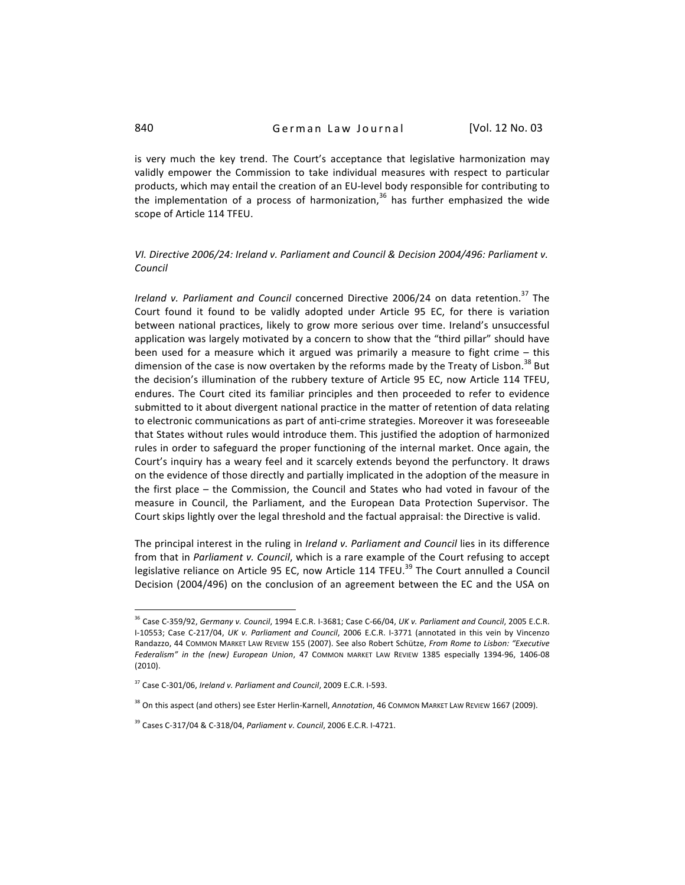is very much the key trend. The Court's acceptance that legislative harmonization may validly empower the Commission to take individual measures with respect to particular products, which may entail the creation of an EU-level body responsible for contributing to the implementation of a process of harmonization, $36$  has further emphasized the wide scope
of
Article
114
TFEU.

## VI. Directive 2006/24: Ireland v. Parliament and Council & Decision 2004/496: Parliament v. *Council*

Ireland v. Parliament and Council concerned Directive 2006/24 on data retention.<sup>37</sup> The Court found it found to be validly adopted under Article 95 EC, for there is variation between national practices, likely to grow more serious over time. Ireland's unsuccessful application was largely motivated by a concern to show that the "third pillar" should have been used for a measure which it argued was primarily a measure to fight crime - this dimension of the case is now overtaken by the reforms made by the Treaty of Lisbon.<sup>38</sup> But the decision's illumination of the rubbery texture of Article 95 EC, now Article 114 TFEU, endures. The Court cited its familiar principles and then proceeded to refer to evidence submitted to it about divergent national practice in the matter of retention of data relating to electronic communications as part of anti-crime strategies. Moreover it was foreseeable that States without rules would introduce them. This justified the adoption of harmonized rules in order to safeguard the proper functioning of the internal market. Once again, the Court's inquiry has a weary feel and it scarcely extends beyond the perfunctory. It draws on the evidence of those directly and partially implicated in the adoption of the measure in the first place – the Commission, the Council and States who had voted in favour of the measure
 in
 Council,
 the
 Parliament,
 and
 the
 European
 Data
 Protection
 Supervisor.
 The Court skips lightly over the legal threshold and the factual appraisal: the Directive is valid.

The principal interest in the ruling in *Ireland v. Parliament and Council* lies in its difference from that in *Parliament v. Council*, which is a rare example of the Court refusing to accept legislative reliance on Article 95 EC, now Article 114 TFEU.<sup>39</sup> The Court annulled a Council Decision (2004/496) on the conclusion of an agreement between the EC and the USA on

 $\overline{a}$ 

<sup>&</sup>lt;sup>36</sup> Case C-359/92, Germany v. Council, 1994 E.C.R. 1-3681; Case C-66/04, UK v. Parliament and Council, 2005 E.C.R. I-10553; Case C-217/04, UK v. Parliament and Council, 2006 E.C.R. I-3771 (annotated in this vein by Vincenzo Randazzo, 44 COMMON MARKET LAW REVIEW 155 (2007). See also Robert Schütze, From Rome to Lisbon: "Executive Federalism" in the (new) European Union, 47 COMMON MARKET LAW REVIEW 1385 especially 1394-96, 1406-08 (2010).

<sup>&</sup>lt;sup>37</sup> Case C-301/06, Ireland v. Parliament and Council, 2009 E.C.R. I-593.

<sup>&</sup>lt;sup>38</sup> On this aspect (and others) see Ester Herlin-Karnell, Annotation, 46 COMMON MARKET LAW REVIEW 1667 (2009).

<sup>&</sup>lt;sup>39</sup> Cases C-317/04 & C-318/04, Parliament v. Council, 2006 E.C.R. I-4721.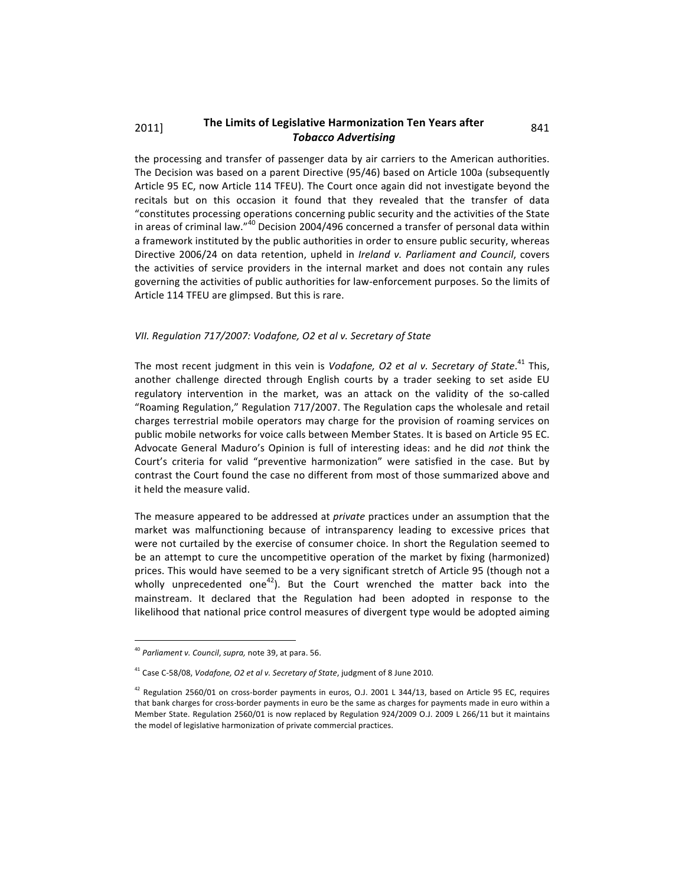## 2011] The Limits of Legislative Harmonization Ten Years after 841 *Tobacco
Advertising*

the
processing
and
 transfer
of
passenger
data
by
air
carriers
 to
 the
American
authorities. The Decision was based on a parent Directive (95/46) based on Article 100a (subsequently Article
95
EC,
now
Article
114
TFEU).
The
Court
once
again
did
not
investigate
beyond
the recitals but on this occasion it found that they revealed that the transfer of data "constitutes processing operations concerning public security and the activities of the State in areas of criminal law."<sup>40</sup> Decision 2004/496 concerned a transfer of personal data within a framework instituted by the public authorities in order to ensure public security, whereas Directive 2006/24 on data retention, upheld in *Ireland v. Parliament and Council*, covers the activities of service providers in the internal market and does not contain any rules governing the activities of public authorities for law-enforcement purposes. So the limits of Article
114
TFEU
are
glimpsed.
But
this
is
rare.

#### *VII.
Regulation
717/2007:
Vodafone,
O2
et
al
v.
Secretary
of
State*

The most recent judgment in this vein is Vodafone, O2 et al v. Secretary of State.<sup>41</sup> This, another challenge directed through English courts by a trader seeking to set aside EU regulatory intervention in the market, was an attack on the validity of the so-called "Roaming
Regulation,"
Regulation
717/2007.
The
Regulation
caps
the
wholesale
and
retail charges
 terrestrial
mobile
operators
may
charge
 for
 the
provision
of
 roaming
 services
on public mobile networks for voice calls between Member States. It is based on Article 95 EC. Advocate General Maduro's Opinion is full of interesting ideas: and he did not think the Court's criteria for valid "preventive harmonization" were satisfied in the case. But by contrast the Court found the case no different from most of those summarized above and it
held
the
measure
valid.

The measure appeared to be addressed at *private* practices under an assumption that the market was malfunctioning because of intransparency leading to excessive prices that were not curtailed by the exercise of consumer choice. In short the Regulation seemed to be an attempt to cure the uncompetitive operation of the market by fixing (harmonized) prices. This would have seemed to be a very significant stretch of Article 95 (though not a wholly unprecedented one<sup>42</sup>). But the Court wrenched the matter back into the mainstream. It declared that the Regulation had been adopted in response to the likelihood that national price control measures of divergent type would be adopted aiming

<sup>40</sup> *Parliament
v.
Council*, *supra,*note
39,
at
para.
56.

<sup>&</sup>lt;sup>41</sup> Case C-58/08, *Vodafone, O2 et al v. Secretary of State*, judgment of 8 June 2010.

 $42$  Regulation 2560/01 on cross-border payments in euros, O.J. 2001 L 344/13, based on Article 95 EC, requires that bank charges for cross-border payments in euro be the same as charges for payments made in euro within a Member State. Regulation 2560/01 is now replaced by Regulation 924/2009 O.J. 2009 L 266/11 but it maintains the
model
of
legislative
harmonization
of
private
commercial
practices.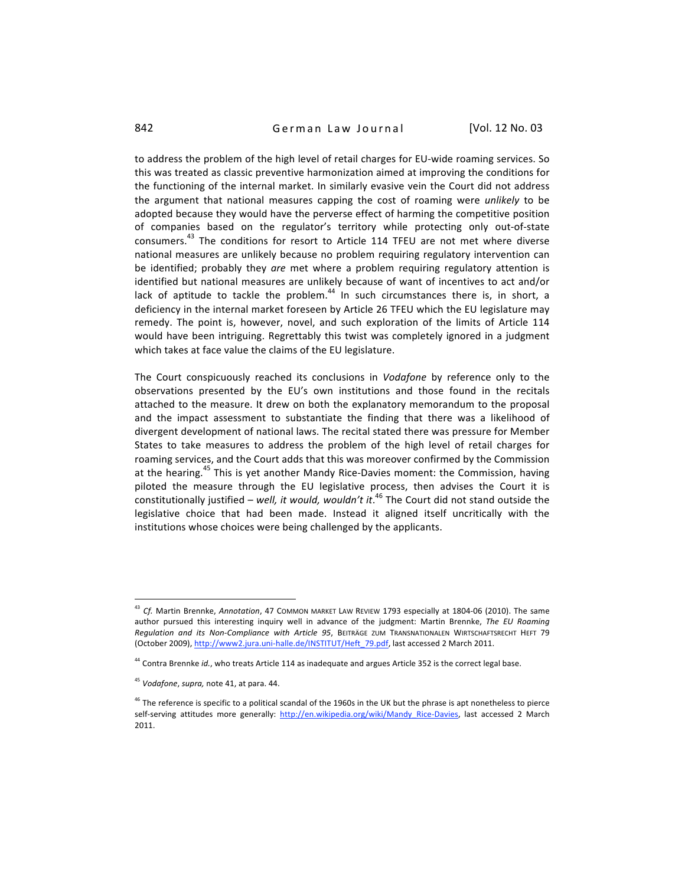to address the problem of the high level of retail charges for EU-wide roaming services. So this was treated as classic preventive harmonization aimed at improving the conditions for the functioning of the internal market. In similarly evasive vein the Court did not address the argument that national measures capping the cost of roaming were *unlikely* to be adopted because they would have the perverse effect of harming the competitive position of companies based on the regulator's territory while protecting only out-of-state consumers.<sup>43</sup> The conditions for resort to Article 114 TFEU are not met where diverse national measures are unlikely because no problem requiring regulatory intervention can be identified; probably they *are* met where a problem requiring regulatory attention is identified but national measures are unlikely because of want of incentives to act and/or lack of aptitude to tackle the problem.<sup>44</sup> In such circumstances there is, in short, a deficiency in the internal market foreseen by Article 26 TFEU which the EU legislature may remedy. The point is, however, novel, and such exploration of the limits of Article 114 would have been intriguing. Regrettably this twist was completely ignored in a judgment which takes at face value the claims of the EU legislature.

The Court conspicuously reached its conclusions in *Vodafone* by reference only to the observations presented by the EU's own institutions and those found in the recitals attached to the measure. It drew on both the explanatory memorandum to the proposal and the impact assessment to substantiate the finding that there was a likelihood of divergent development of national laws. The recital stated there was pressure for Member States to take measures to address the problem of the high level of retail charges for roaming services, and the Court adds that this was moreover confirmed by the Commission at the hearing.<sup>45</sup> This is yet another Mandy Rice-Davies moment: the Commission, having piloted the measure through the EU legislative process, then advises the Court it is constitutionally justified – *well, it would, wouldn't it*.<sup>46</sup> The Court did not stand outside the legislative choice that had been made. Instead it aligned itself uncritically with the institutions
whose
choices
were
being
challenged
by
the
applicants.

<sup>&</sup>lt;sup>43</sup> Cf. Martin Brennke, Annotation, 47 Common market Law Review 1793 especially at 1804-06 (2010). The same author pursued this interesting inquiry well in advance of the judgment: Martin Brennke, The EU Roaming Regulation and its Non-Compliance with Article 95, BEITRÄGE ZUM TRANSNATIONALEN WIRTSCHAFTSRECHT HEFT 79 (October 2009), http://www2.jura.uni-halle.de/INSTITUT/Heft\_79.pdf, last accessed 2 March 2011.

<sup>&</sup>lt;sup>44</sup> Contra Brennke id., who treats Article 114 as inadequate and argues Article 352 is the correct legal base.

<sup>45</sup> *Vodafone*, *supra,*note
41,
at
para.
44.

<sup>&</sup>lt;sup>46</sup> The reference is specific to a political scandal of the 1960s in the UK but the phrase is apt nonetheless to pierce self-serving attitudes more generally: http://en.wikipedia.org/wiki/Mandy Rice-Davies, last accessed 2 March 2011.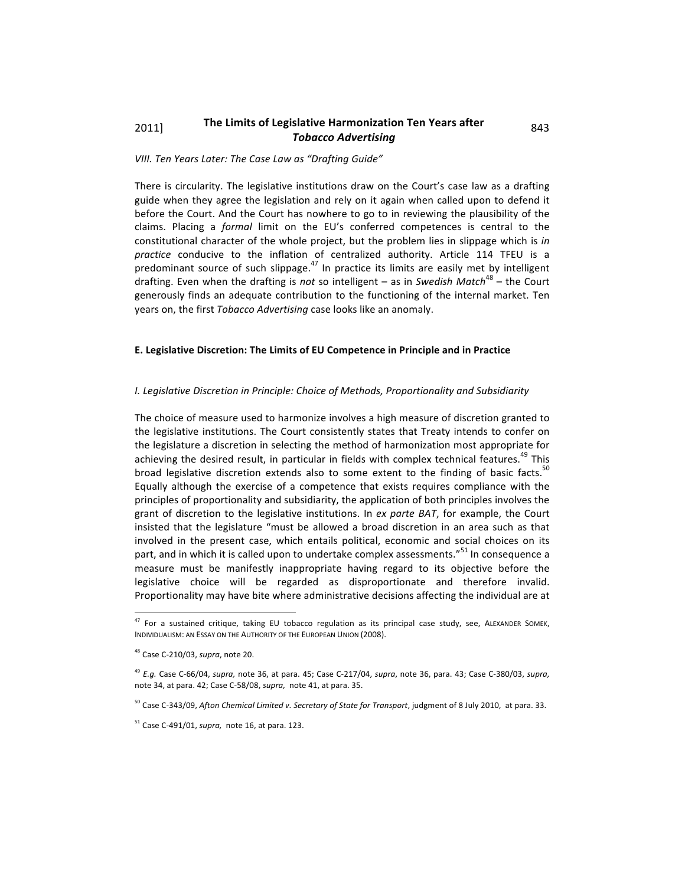## 2011] The Limits of Legislative Harmonization Ten Years after 843 *Tobacco
Advertising*

## *VIII.
Ten
Years
Later:
The
Case
Law
as
"Drafting
Guide"*

There is circularity. The legislative institutions draw on the Court's case law as a drafting guide when they agree the legislation and rely on it again when called upon to defend it before the Court. And the Court has nowhere to go to in reviewing the plausibility of the claims. Placing a *formal* limit on the EU's conferred competences is central to the constitutional character of the whole project, but the problem lies in slippage which is in practice conducive to the inflation of centralized authority. Article 114 TFEU is a predominant source of such slippage.<sup>47</sup> In practice its limits are easily met by intelligent drafting. Even when the drafting is *not* so intelligent – as in *Swedish Match*<sup>48</sup> – the Court generously finds an adequate contribution to the functioning of the internal market. Ten years
on,
the
first *Tobacco
Advertising*case
looks
like
an
anomaly.

## **E.
Legislative
Discretion:
The
Limits
of
EU
Competence
in
Principle
and
in
Practice**

## I. Legislative Discretion in Principle: Choice of Methods, Proportionality and Subsidiarity

The choice of measure used to harmonize involves a high measure of discretion granted to the legislative institutions. The Court consistently states that Treaty intends to confer on the
legislature
a
discretion
in
selecting
the
method
of
harmonization
most
appropriate
for achieving the desired result, in particular in fields with complex technical features.<sup>49</sup> This broad legislative discretion extends also to some extent to the finding of basic facts.<sup>50</sup> Equally although the exercise of a competence that exists requires compliance with the principles
of
proportionality
and
subsidiarity,
the
application
of
both
principles
involves
the grant of discretion to the legislative institutions. In ex parte BAT, for example, the Court insisted that the legislature "must be allowed a broad discretion in an area such as that involved in the present case, which entails political, economic and social choices on its part, and in which it is called upon to undertake complex assessments."<sup>51</sup> In consequence a measure must be manifestly inappropriate having regard to its objective before the legislative choice will be regarded as disproportionate and therefore invalid. Proportionality may have bite where administrative decisions affecting the individual are at

<sup>&</sup>lt;sup>47</sup> For a sustained critique, taking EU tobacco regulation as its principal case study, see, ALEXANDER SOMEK, INDIVIDUALISM: AN ESSAY ON THE AUTHORITY OF THE EUROPEAN UNION (2008).

<sup>48</sup>Case
C‐210/03, *supra*,
note
20.

<sup>&</sup>lt;sup>49</sup> E.g. Case C-66/04, supra, note 36, at para. 45; Case C-217/04, supra, note 36, para. 43; Case C-380/03, supra, note
34, at
para.
42;
Case
C‐58/08, *supra,* note
41, at
para.
35.

<sup>&</sup>lt;sup>50</sup> Case C-343/09, Afton Chemical Limited v. Secretary of State for Transport, judgment of 8 July 2010, at para. 33.

<sup>51</sup>Case
C‐491/01, *supra,* note
16,
at
para.
123.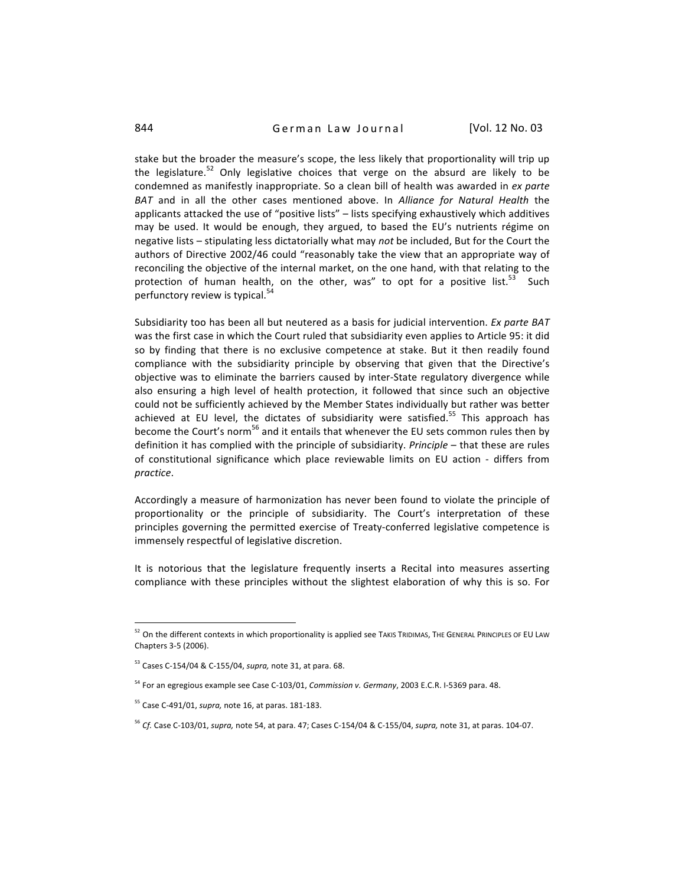## 844 **German Law Journal** [Vol. 12 No. 03

stake but the broader the measure's scope, the less likely that proportionality will trip up the legislature.<sup>52</sup> Only legislative choices that verge on the absurd are likely to be condemned as manifestly inappropriate. So a clean bill of health was awarded in ex parte BAT and in all the other cases mentioned above. In *Alliance for Natural Health* the applicants attacked the use of "positive lists" - lists specifying exhaustively which additives may be used. It would be enough, they argued, to based the EU's nutrients régime on negative lists – stipulating less dictatorially what may *not* be included, But for the Court the authors of Directive 2002/46 could "reasonably take the view that an appropriate way of reconciling the objective of the internal market, on the one hand, with that relating to the protection of human health, on the other, was" to opt for a positive list.<sup>53</sup> Such perfunctory review is typical.<sup>54</sup>

Subsidiarity too has been all but neutered as a basis for judicial intervention. Ex parte BAT was the first case in which the Court ruled that subsidiarity even applies to Article 95: it did so by finding that there is no exclusive competence at stake. But it then readily found compliance with the subsidiarity principle by observing that given that the Directive's objective was to eliminate the barriers caused by inter-State regulatory divergence while also ensuring a high level of health protection, it followed that since such an objective could not be sufficiently achieved by the Member States individually but rather was better achieved at EU level, the dictates of subsidiarity were satisfied.<sup>55</sup> This approach has become the Court's norm<sup>56</sup> and it entails that whenever the EU sets common rules then by definition it has complied with the principle of subsidiarity. *Principle* – that these are rules of constitutional significance which place reviewable limits on EU action - differs from *practice*.

Accordingly a measure of harmonization has never been found to violate the principle of proportionality or the principle of subsidiarity. The Court's interpretation of these principles governing the permitted exercise of Treaty-conferred legislative competence is immensely
respectful
of
legislative
discretion.

It is notorious that the legislature frequently inserts a Recital into measures asserting compliance with these principles without the slightest elaboration of why this is so. For

s2 On the different contexts in which proportionality is applied see TAKIS TRIDIMAS, THE GENERAL PRINCIPLES OF EU LAW Chapters
3‐5
(2006).

<sup>&</sup>lt;sup>53</sup> Cases C-154/04 & C-155/04, supra, note 31, at para. 68.

<sup>&</sup>lt;sup>54</sup> For an egregious example see Case C-103/01, *Commission v. Germany*, 2003 E.C.R. I-5369 para. 48.

<sup>55</sup>Case
C‐491/01, *supra,*note
16,
at
paras.
181‐183.

<sup>&</sup>lt;sup>56</sup> Cf. Case C-103/01, supra, note 54, at para. 47; Cases C-154/04 & C-155/04, supra, note 31, at paras. 104-07.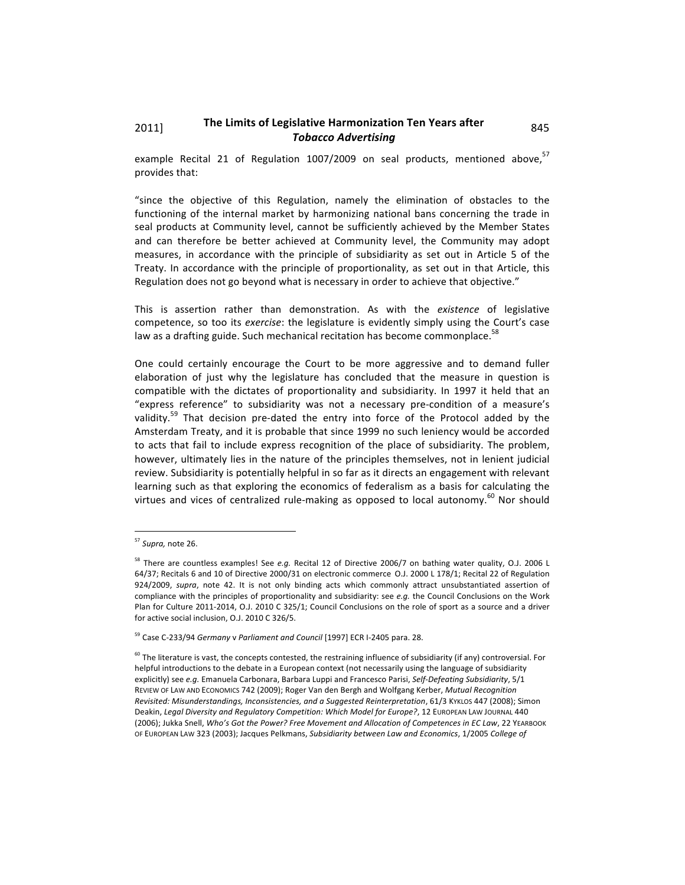# 2011] The Limits of Legislative Harmonization Ten Years after 845 *Tobacco
Advertising*

example Recital 21 of Regulation 1007/2009 on seal products, mentioned above,<sup>57</sup> provides
that:

"since the objective of this Regulation, namely the elimination of obstacles to the functioning of the internal market by harmonizing national bans concerning the trade in seal products at Community level, cannot be sufficiently achieved by the Member States and can therefore be better achieved at Community level, the Community may adopt measures, in accordance with the principle of subsidiarity as set out in Article 5 of the Treaty. In accordance with the principle of proportionality, as set out in that Article, this Regulation does not go beyond what is necessary in order to achieve that objective."

This is assertion rather than demonstration. As with the existence of legislative competence, so too its exercise: the legislature is evidently simply using the Court's case law as a drafting guide. Such mechanical recitation has become commonplace.<sup>58</sup>

One could certainly encourage the Court to be more aggressive and to demand fuller elaboration of just why the legislature has concluded that the measure in question is compatible with the dictates of proportionality and subsidiarity. In 1997 it held that an "express reference" to subsidiarity was not a necessary pre-condition of a measure's validity.<sup>59</sup> That decision pre-dated the entry into force of the Protocol added by the Amsterdam Treaty, and it is probable that since 1999 no such leniency would be accorded to acts that fail to include express recognition of the place of subsidiarity. The problem, however, ultimately lies in the nature of the principles themselves, not in lenient judicial review. Subsidiarity is potentially helpful in so far as it directs an engagement with relevant learning such as that exploring the economics of federalism as a basis for calculating the virtues and vices of centralized rule-making as opposed to local autonomy.<sup>60</sup> Nor should

 $\overline{a}$ 

<sup>57</sup> *Supra,*note
26.

<sup>&</sup>lt;sup>58</sup> There are countless examples! See e.g. Recital 12 of Directive 2006/7 on bathing water quality, O.J. 2006 L 64/37; Recitals 6 and 10 of Directive 2000/31 on electronic commerce O.J. 2000 L 178/1; Recital 22 of Regulation 924/2009, supra, note 42. It is not only binding acts which commonly attract unsubstantiated assertion of compliance with the principles of proportionality and subsidiarity: see e.g. the Council Conclusions on the Work Plan for Culture 2011-2014, O.J. 2010 C 325/1; Council Conclusions on the role of sport as a source and a driver for active social inclusion, O.J. 2010 C 326/5.

<sup>&</sup>lt;sup>59</sup> Case C-233/94 Germany v Parliament and Council [1997] ECR I-2405 para. 28.

<sup>&</sup>lt;sup>60</sup> The literature is vast, the concepts contested, the restraining influence of subsidiarity (if any) controversial. For helpful introductions to the debate in a European context (not necessarily using the language of subsidiarity explicitly) see e.g. Emanuela Carbonara, Barbara Luppi and Francesco Parisi, Self-Defeating Subsidiarity, 5/1 REVIEW OF LAW AND ECONOMICS 742 (2009); Roger Van den Bergh and Wolfgang Kerber, Mutual Recognition Revisited: Misunderstandings, Inconsistencies, and a Suggested Reinterpretation, 61/3 KYKLOS 447 (2008); Simon Deakin, Legal Diversity and Regulatory Competition: Which Model for Europe?, 12 EUROPEAN LAW JOURNAL 440 (2006); Jukka Snell, Who's Got the Power? Free Movement and Allocation of Competences in EC Law, 22 YEARBOOK OF
EUROPEAN
LAW
323
(2003);
Jacques
Pelkmans, *Subsidiarity
between
Law
and
Economics*,
1/2005 *College
of*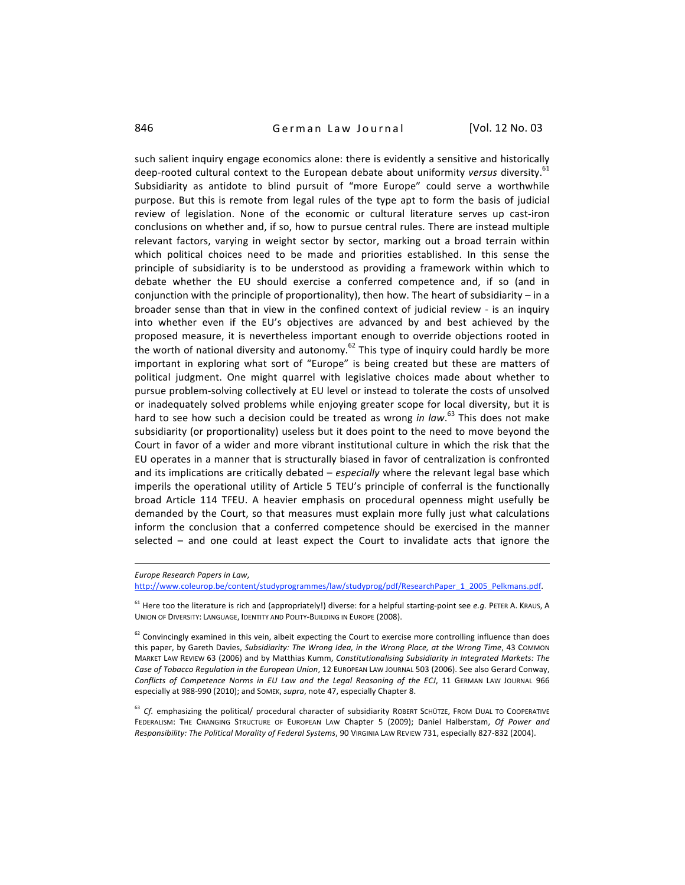846 **German Law Journal** [Vol. 12 No. 03

such salient inquiry engage economics alone: there is evidently a sensitive and historically deep-rooted cultural context to the European debate about uniformity *versus* diversity.<sup>61</sup> Subsidiarity as antidote to blind pursuit of "more Europe" could serve a worthwhile purpose. But this is remote from legal rules of the type apt to form the basis of judicial review of legislation. None of the economic or cultural literature serves up cast-iron conclusions
on
whether
and,
if
so,
how
to
pursue
central
rules.
There
are
instead
multiple relevant factors, varying in weight sector by sector, marking out a broad terrain within which political choices need to be made and priorities established. In this sense the principle of subsidiarity is to be understood as providing a framework within which to debate whether the EU should exercise a conferred competence and, if so (and in conjunction with the principle of proportionality), then how. The heart of subsidiarity - in a broader sense than that in view in the confined context of judicial review - is an inquiry into whether even if the EU's objectives are advanced by and best achieved by the proposed measure, it is nevertheless important enough to override objections rooted in the worth of national diversity and autonomy.<sup>62</sup> This type of inquiry could hardly be more important in exploring what sort of "Europe" is being created but these are matters of political judgment. One might quarrel with legislative choices made about whether to pursue problem-solving collectively at EU level or instead to tolerate the costs of unsolved or inadequately solved problems while enjoying greater scope for local diversity, but it is hard to see how such a decision could be treated as wrong in law.<sup>63</sup> This does not make subsidiarity (or proportionality) useless but it does point to the need to move beyond the Court in favor of a wider and more vibrant institutional culture in which the risk that the EU
operates
in
a
manner
that
is
structurally
biased
in
favor
of
centralization
is
confronted and its implications are critically debated - especially where the relevant legal base which imperils the operational utility of Article 5 TEU's principle of conferral is the functionally broad
 Article
 114
 TFEU.
 A
 heavier
 emphasis
 on
 procedural
 openness
 might
 usefully
 be demanded by the Court, so that measures must explain more fully just what calculations inform the conclusion that a conferred competence should be exercised in the manner selected - and one could at least expect the Court to invalidate acts that ignore the

*Europe
Research
Papers
in
Law*, http://www.coleurop.be/content/studyprogrammes/law/studyprog/pdf/ResearchPaper\_1\_2005\_Pelkmans.pdf.

<sup>61</sup> Here too the literature is rich and (appropriately!) diverse: for a helpful starting-point see e.g. PETER A. KRAUS, A UNION OF DIVERSITY: LANGUAGE, IDENTITY AND POLITY-BUILDING IN EUROPE (2008).

<sup>62</sup> Convincingly examined in this vein, albeit expecting the Court to exercise more controlling influence than does this paper, by Gareth Davies, Subsidiarity: The Wrong Idea, in the Wrong Place, at the Wrong Time, 43 COMMON MARKET LAW REVIEW 63 (2006) and by Matthias Kumm, Constitutionalising Subsidiarity in Integrated Markets: The Case of Tobacco Regulation in the European Union, 12 EUROPEAN LAW JOURNAL 503 (2006). See also Gerard Conway, Conflicts of Competence Norms in EU Law and the Legal Reasoning of the ECJ, 11 GERMAN LAW JOURNAL 966 especially at 988-990 (2010); and SOMEK, *supra*, note 47, especially Chapter 8.

<sup>63</sup> Cf. emphasizing the political/ procedural character of subsidiarity ROBERT SCHÜTZE, FROM DUAL TO COOPERATIVE FEDERALISM: THE CHANGING STRUCTURE OF EUROPEAN LAW Chapter 5 (2009); Daniel Halberstam, Of Power and Responsibility: The Political Morality of Federal Systems, 90 VIRGINIA LAW REVIEW 731, especially 827-832 (2004).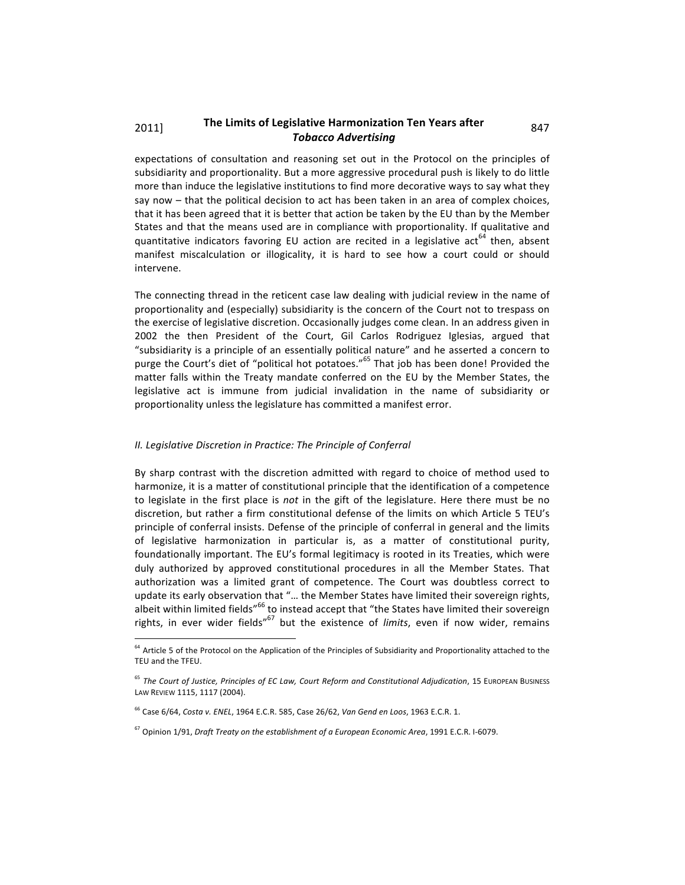## 2011] The Limits of Legislative Harmonization Ten Years after 847 *Tobacco
Advertising*

expectations of consultation and reasoning set out in the Protocol on the principles of subsidiarity and proportionality. But a more aggressive procedural push is likely to do little more than induce the legislative institutions to find more decorative ways to say what they say now – that the political decision to act has been taken in an area of complex choices, that it has been agreed that it is better that action be taken by the EU than by the Member States and that the means used are in compliance with proportionality. If qualitative and quantitative indicators favoring EU action are recited in a legislative act<sup>64</sup> then, absent manifest miscalculation or illogicality, it is hard to see how a court could or should intervene.

The connecting thread in the reticent case law dealing with judicial review in the name of proportionality
and
(especially)
subsidiarity
is
the
concern
of
the
Court
not
to
trespass
on the
exercise
of
legislative
discretion.
Occasionally
judges
come
clean.
In
an
address
given
in 2002 the then President of the Court, Gil Carlos Rodriguez Iglesias, argued that "subsidiarity is a principle of an essentially political nature" and he asserted a concern to purge the Court's diet of "political hot potatoes."<sup>65</sup> That job has been done! Provided the matter falls within the Treaty mandate conferred on the EU by the Member States, the legislative act is immune from judicial invalidation in the name of subsidiarity or proportionality unless the legislature has committed a manifest error.

#### II. Legislative Discretion in Practice: The Principle of Conferral

l

By sharp contrast with the discretion admitted with regard to choice of method used to harmonize, it is a matter of constitutional principle that the identification of a competence to legislate in the first place is *not* in the gift of the legislature. Here there must be no discretion, but rather a firm constitutional defense of the limits on which Article 5 TEU's principle of conferral insists. Defense of the principle of conferral in general and the limits of legislative harmonization in particular is, as a matter of constitutional purity, foundationally important. The EU's formal legitimacy is rooted in its Treaties, which were duly authorized by approved constitutional procedures in all the Member States. That authorization was a limited grant of competence. The Court was doubtless correct to update its early observation that "... the Member States have limited their sovereign rights, albeit within limited fields"<sup>66</sup> to instead accept that "the States have limited their sovereign rights, in ever wider fields"<sup>67</sup> but the existence of *limits*, even if now wider, remains

<sup>&</sup>lt;sup>64</sup> Article 5 of the Protocol on the Application of the Principles of Subsidiarity and Proportionality attached to the TEU
and
the
TFEU.

<sup>&</sup>lt;sup>65</sup> The Court of Justice, Principles of EC Law, Court Reform and Constitutional Adjudication, 15 EUROPEAN BUSINESS LAW REVIEW 1115, 1117 (2004).

<sup>&</sup>lt;sup>66</sup> Case 6/64, Costa v. ENEL, 1964 E.C.R. 585, Case 26/62, Van Gend en Loos, 1963 E.C.R. 1.

<sup>&</sup>lt;sup>67</sup> Opinion 1/91, Draft Treaty on the establishment of a European Economic Area, 1991 E.C.R. I-6079.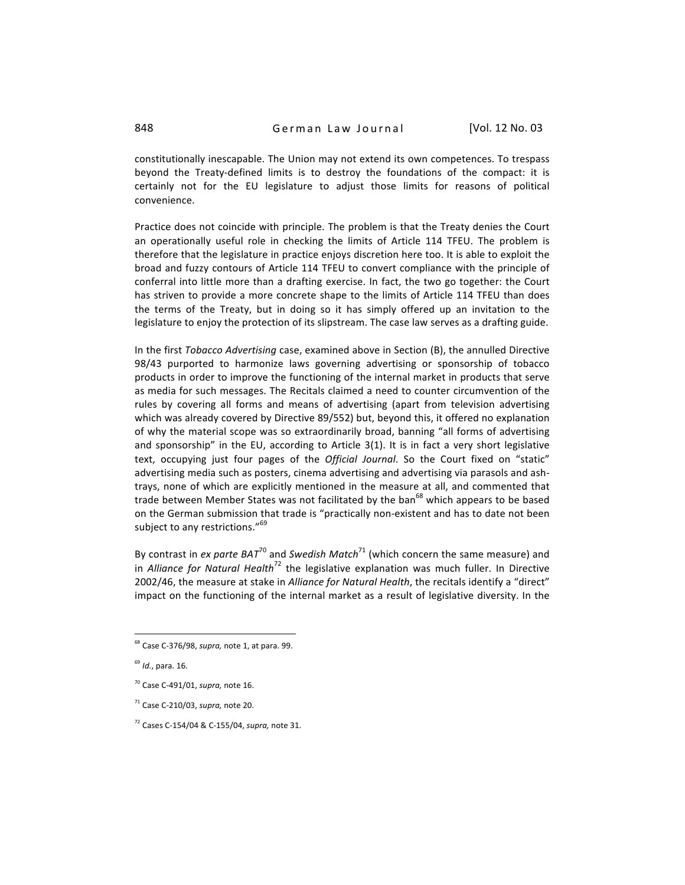constitutionally inescapable. The Union may not extend its own competences. To trespass beyond the Treaty-defined limits is to destroy the foundations of the compact: it is certainly not for the EU legislature to adjust those limits for reasons of political convenience.

Practice does not coincide with principle. The problem is that the Treaty denies the Court an operationally useful role in checking the limits of Article 114 TFEU. The problem is therefore that the legislature in practice enjoys discretion here too. It is able to exploit the broad
and
 fuzzy
contours
of
Article
114
TFEU
to
convert
compliance
with
the
principle
of conferral into little more than a drafting exercise. In fact, the two go together: the Court has striven to provide a more concrete shape to the limits of Article 114 TFEU than does the terms of the Treaty, but in doing so it has simply offered up an invitation to the legislature to enjoy the protection of its slipstream. The case law serves as a drafting guide.

In the first *Tobacco Advertising* case, examined above in Section (B), the annulled Directive 98/43 purported to harmonize laws governing advertising or sponsorship of tobacco products
in
order
to
improve
the
functioning
of
the
internal
market
in
products
that
serve as media for such messages. The Recitals claimed a need to counter circumvention of the rules by covering all forms and means of advertising (apart from television advertising which was already covered by Directive 89/552) but, beyond this, it offered no explanation of why the material scope was so extraordinarily broad, banning "all forms of advertising and sponsorship" in the EU, according to Article 3(1). It is in fact a very short legislative text, occupying just four pages of the *Official Journal*. So the Court fixed on "static" advertising media such as posters, cinema advertising and advertising via parasols and ashtrays, none of which are explicitly mentioned in the measure at all, and commented that trade between Member States was not facilitated by the ban<sup>68</sup> which appears to be based on the German submission that trade is "practically non-existent and has to date not been subject to any restrictions."<sup>69</sup>

By contrast in *ex parte BAT*<sup>70</sup> and Swedish Match<sup>71</sup> (which concern the same measure) and in *Alliance for Natural Health*<sup>72</sup> the legislative explanation was much fuller. In Directive 2002/46, the measure at stake in Alliance for Natural Health, the recitals identify a "direct" impact on the functioning of the internal market as a result of legislative diversity. In the

 $\overline{a}$ 

<sup>&</sup>lt;sup>68</sup> Case C-376/98, supra, note 1, at para. 99.

<sup>69</sup> *Id.*,
para.
16.

<sup>70</sup>Case
C‐491/01, *supra,*note
16.

<sup>71</sup>Case
C‐210/03, *supra,*note
20.

<sup>72</sup>Cases
C‐154/04
&
C‐155/04, *supra,*note
31.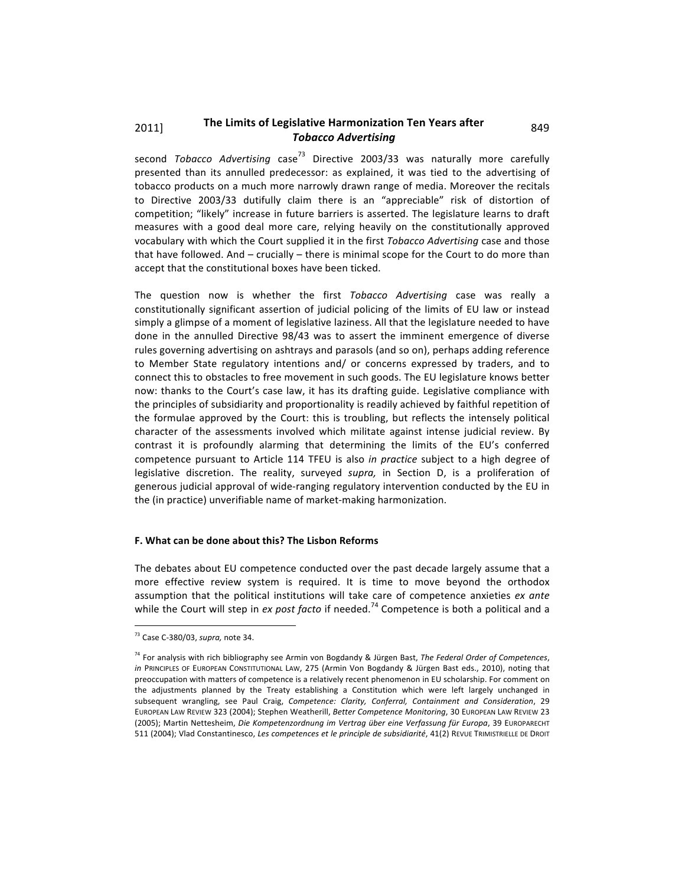# 2011] The Limits of Legislative Harmonization Ten Years after 849 *Tobacco
Advertising*

second *Tobacco Advertising* case<sup>73</sup> Directive 2003/33 was naturally more carefully presented than its annulled predecessor: as explained, it was tied to the advertising of tobacco products on a much more narrowly drawn range of media. Moreover the recitals to Directive 2003/33 dutifully claim there is an "appreciable" risk of distortion of competition; "likely" increase in future barriers is asserted. The legislature learns to draft measures
 with
 a
 good
 deal
 more
 care,
 relying
 heavily
 on
 the
 constitutionally
 approved vocabulary with which the Court supplied it in the first *Tobacco Advertising* case and those that have followed. And - crucially - there is minimal scope for the Court to do more than accept
that
the
constitutional
boxes
have
been
ticked.

The question now is whether the first Tobacco Advertising case was really a constitutionally significant assertion of judicial policing of the limits of EU law or instead simply a glimpse of a moment of legislative laziness. All that the legislature needed to have done
 in
 the
 annulled
 Directive
 98/43
 was
 to
 assert
 the
 imminent
 emergence
 of
 diverse rules governing advertising on ashtrays and parasols (and so on), perhaps adding reference to Member State regulatory intentions and/ or concerns expressed by traders, and to connect
this
to
obstacles
to
free
movement
in
such
goods.
The
EU
legislature
knows
better now: thanks to the Court's case law, it has its drafting guide. Legislative compliance with the principles of subsidiarity and proportionality is readily achieved by faithful repetition of the formulae approved by the Court: this is troubling, but reflects the intensely political character of the assessments involved which militate against intense judicial review. By contrast it is profoundly alarming that determining the limits of the EU's conferred competence pursuant to Article 114 TFEU is also in practice subject to a high degree of legislative discretion. The reality, surveyed supra, in Section D, is a proliferation of generous judicial approval of wide-ranging regulatory intervention conducted by the EU in the
(in
practice)
unverifiable
name
of
market‐making
harmonization.

## **F.
What
can
be
done
about
this?
The
Lisbon
Reforms**

The debates about EU competence conducted over the past decade largely assume that a more effective review system is required. It is time to move beyond the orthodox assumption that the political institutions will take care of competence anxieties ex ante while the Court will step in ex post facto if needed.<sup>74</sup> Competence is both a political and a

<sup>73</sup>Case
C‐380/03, *supra,*note
34.

<sup>&</sup>lt;sup>74</sup> For analysis with rich bibliography see Armin von Bogdandy & Jürgen Bast, The Federal Order of Competences, in PRINCIPLES OF EUROPEAN CONSTITUTIONAL LAW, 275 (Armin Von Bogdandy & Jürgen Bast eds., 2010), noting that preoccupation with matters of competence is a relatively recent phenomenon in EU scholarship. For comment on the adjustments planned by the Treaty establishing a Constitution which were left largely unchanged in subsequent wrangling, see Paul Craig, Competence: Clarity, Conferral, Containment and Consideration, 29 EUROPEAN LAW REVIEW 323 (2004); Stephen Weatherill, Better Competence Monitoring, 30 EUROPEAN LAW REVIEW 23 (2005);
Martin
Nettesheim, *Die
Kompetenzordnung
im
Vertrag
über
eine
Verfassung
für
Europa*, 39
EUROPARECHT 511 (2004); Vlad Constantinesco, Les competences et le principle de subsidiarité, 41(2) REVUE TRIMISTRIELLE DE DROIT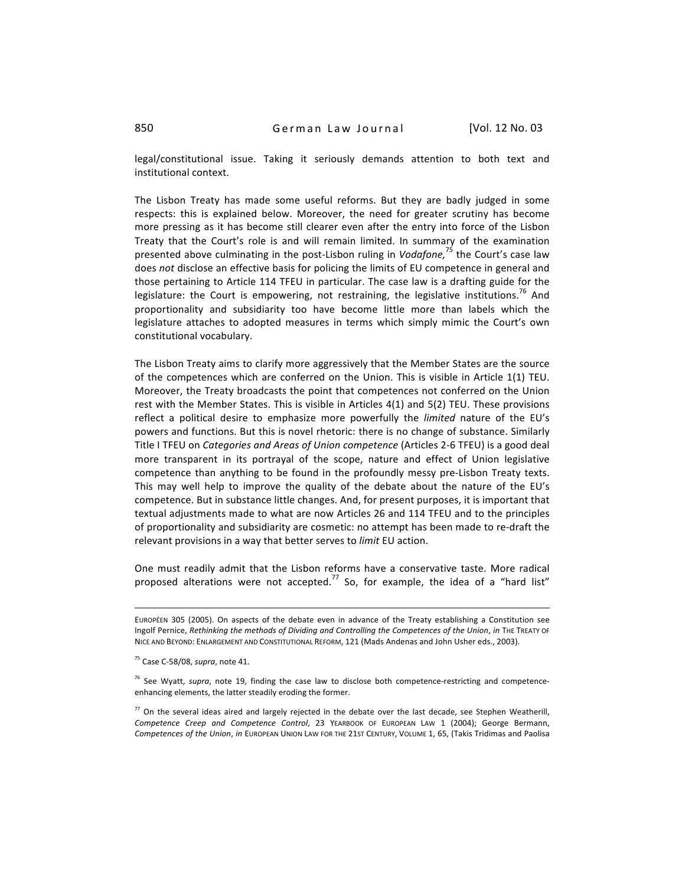legal/constitutional issue. Taking it seriously demands attention to both text and institutional
context.

The Lisbon Treaty has made some useful reforms. But they are badly judged in some respects: this is explained below. Moreover, the need for greater scrutiny has become more pressing as it has become still clearer even after the entry into force of the Lisbon Treaty that the Court's role is and will remain limited. In summary of the examination presented above culminating in the post-Lisbon ruling in Vodafone,<sup>75</sup> the Court's case law does not disclose an effective basis for policing the limits of EU competence in general and those pertaining to Article 114 TFEU in particular. The case law is a drafting guide for the legislature: the Court is empowering, not restraining, the legislative institutions.<sup>76</sup> And proportionality and subsidiarity too have become little more than labels which the legislature attaches to adopted measures in terms which simply mimic the Court's own constitutional
vocabulary.

The Lisbon Treaty aims to clarify more aggressively that the Member States are the source of the competences which are conferred on the Union. This is visible in Article 1(1) TEU. Moreover, the Treaty broadcasts the point that competences not conferred on the Union rest with the Member States. This is visible in Articles 4(1) and 5(2) TEU. These provisions reflect a political desire to emphasize more powerfully the *limited* nature of the EU's powers and functions. But this is novel rhetoric: there is no change of substance. Similarly Title I TFEU on *Categories and Areas of Union competence* (Articles 2-6 TFEU) is a good deal more transparent in its portrayal of the scope, nature and effect of Union legislative competence than anything to be found in the profoundly messy pre-Lisbon Treaty texts. This may well help to improve the quality of the debate about the nature of the EU's competence.
But
in
substance
little
changes.
And,
for
present
purposes,
it
is
important
that textual adjustments made to what are now Articles 26 and 114 TFEU and to the principles of
proportionality
and
subsidiarity
are
cosmetic:
no
attempt
has
been
made
to
re‐draft
the relevant provisions in a way that better serves to *limit* EU action.

One must readily admit that the Lisbon reforms have a conservative taste. More radical proposed alterations were not accepted.<sup>77</sup> So, for example, the idea of a "hard list"

EUROPÉEN 305 (2005). On aspects of the debate even in advance of the Treaty establishing a Constitution see Ingolf Pernice, Rethinking the methods of Dividing and Controlling the Competences of the Union, in THE TREATY OF NICE AND BEYOND: ENLARGEMENT AND CONSTITUTIONAL REFORM, 121 (Mads Andenas and John Usher eds., 2003).

<sup>75</sup>Case
C‐58/08, *supra*,
note
41.

<sup>&</sup>lt;sup>76</sup> See Wyatt, supra, note 19, finding the case law to disclose both competence-restricting and competenceenhancing
elements,
the
latter
steadily
eroding
the
former.

<sup>&</sup>lt;sup>77</sup> On the several ideas aired and largely rejected in the debate over the last decade, see Stephen Weatherill, Competence Creep and Competence Control, 23 YEARBOOK OF EUROPEAN LAW 1 (2004); George Bermann, Competences of the Union, in EUROPEAN UNION LAW FOR THE 21ST CENTURY, VOLUME 1, 65, (Takis Tridimas and Paolisa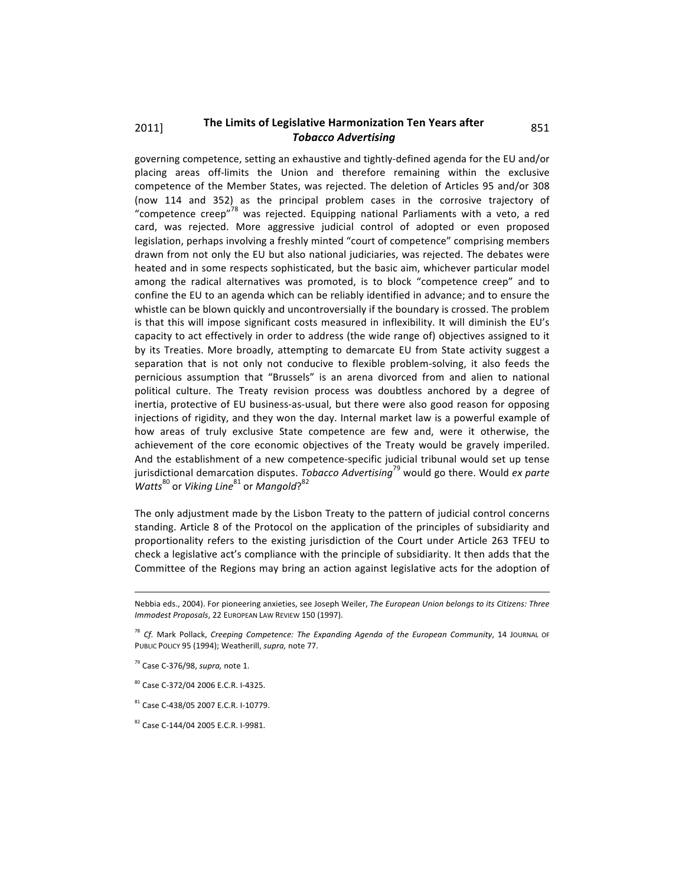# 2011] The Limits of Legislative Harmonization Ten Years after 851 *Tobacco
Advertising*

governing competence, setting an exhaustive and tightly-defined agenda for the EU and/or placing areas off-limits the Union and therefore remaining within the exclusive competence
 of
 the
Member
States,
was
 rejected.
The
 deletion
 of
Articles
 95
and/or
 308 (now 114 and 352) as the principal problem cases in the corrosive trajectory of "competence creep"<sup>78</sup> was rejected. Equipping national Parliaments with a veto, a red card, was rejected. More aggressive judicial control of adopted or even proposed legislation, perhaps involving a freshly minted "court of competence" comprising members drawn
 from
not
only
the
EU
but
also
national
judiciaries,
was
rejected.
The
debates
were heated and in some respects sophisticated, but the basic aim, whichever particular model among the radical alternatives was promoted, is to block "competence creep" and to confine the EU to an agenda which can be reliably identified in advance; and to ensure the whistle can be blown quickly and uncontroversially if the boundary is crossed. The problem is that this will impose significant costs measured in inflexibility. It will diminish the EU's capacity to act effectively in order to address (the wide range of) objectives assigned to it by its Treaties. More broadly, attempting to demarcate EU from State activity suggest a separation that is not only not conducive to flexible problem-solving, it also feeds the pernicious assumption that "Brussels" is an arena divorced from and alien to national political culture. The Treaty revision process was doubtless anchored by a degree of inertia, protective of EU business-as-usual, but there were also good reason for opposing injections of rigidity, and they won the day. Internal market law is a powerful example of how areas of truly exclusive State competence are few and, were it otherwise, the achievement of the core economic objectives of the Treaty would be gravely imperiled. And the establishment of a new competence-specific judicial tribunal would set up tense jurisdictional demarcation disputes. *Tobacco Advertising*<sup>79</sup> would go there. Would ex parte Watts<sup>80</sup> or Viking Line<sup>81</sup> or Mangold?<sup>82</sup>

The only adjustment made by the Lisbon Treaty to the pattern of judicial control concerns standing. Article 8 of the Protocol on the application of the principles of subsidiarity and proportionality refers to the existing jurisdiction of the Court under Article 263 TFEU to check a legislative act's compliance with the principle of subsidiarity. It then adds that the Committee of the Regions may bring an action against legislative acts for the adoption of

Nebbia eds., 2004). For pioneering anxieties, see Joseph Weiler, The European Union belongs to its Citizens: Three *Immodest
Proposals*,
22
EUROPEAN
LAW
REVIEW
150
(1997).

<sup>&</sup>lt;sup>78</sup> Cf. Mark Pollack, Creeping Competence: The Expanding Agenda of the European Community, 14 JOURNAL OF PUBLIC POLICY 95 (1994); Weatherill, supra, note 77.

<sup>79</sup>Case
C‐376/98, *supra,*note
1.

<sup>80</sup>Case
C‐372/04
2006
E.C.R.
I‐4325.

<sup>81</sup> Case
C‐438/05
2007
E.C.R.
I‐10779.

<sup>82</sup>Case
C‐144/04
2005
E.C.R.
I‐9981.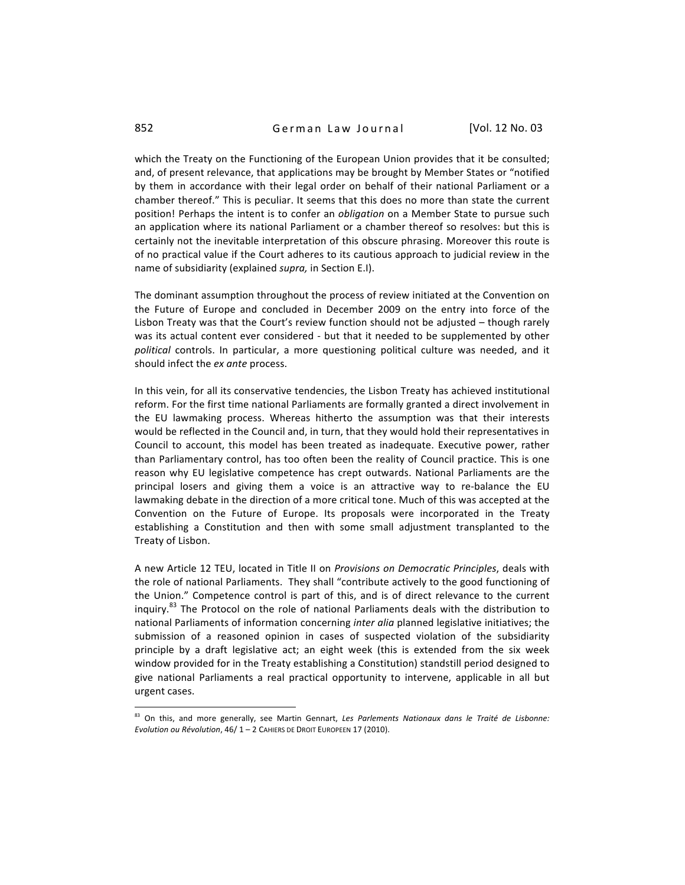which the Treaty on the Functioning of the European Union provides that it be consulted; and, of present relevance, that applications may be brought by Member States or "notified by them in accordance with their legal order on behalf of their national Parliament or a chamber
thereof."
This
is
peculiar.
It
seems
that
this
does
no
more
than
state
the
current position! Perhaps the intent is to confer an *obligation* on a Member State to pursue such an application where its national Parliament or a chamber thereof so resolves: but this is certainly not the inevitable interpretation of this obscure phrasing. Moreover this route is of no practical value if the Court adheres to its cautious approach to judicial review in the name
of
subsidiarity
(explained *supra,*in
Section
E.I).

The dominant assumption throughout the process of review initiated at the Convention on the Future of Europe and concluded in December 2009 on the entry into force of the Lisbon Treaty was that the Court's review function should not be adjusted - though rarely was its actual content ever considered - but that it needed to be supplemented by other political controls. In particular, a more questioning political culture was needed, and it should
infect
the *ex
ante*process.

In this vein, for all its conservative tendencies, the Lisbon Treaty has achieved institutional reform. For the first time national Parliaments are formally granted a direct involvement in the EU lawmaking process. Whereas hitherto the assumption was that their interests would be reflected in the Council and, in turn, that they would hold their representatives in Council
 to
 account,
 this
model
 has
 been
 treated
 as
 inadequate.
 Executive
 power,
 rather than
Parliamentary
control,
has
too
often
been
the
reality
of
Council
practice.
This
is
one reason why EU legislative competence has crept outwards. National Parliaments are the principal losers and giving them a voice is an attractive way to re-balance the EU lawmaking debate in the direction of a more critical tone. Much of this was accepted at the Convention on the Future of Europe. Its proposals were incorporated in the Treaty establishing a Constitution and then with some small adjustment transplanted to the Treaty
of
Lisbon.

A new Article 12 TEU, located in Title II on *Provisions on Democratic Principles*, deals with the role of national Parliaments. They shall "contribute actively to the good functioning of the Union." Competence control is part of this, and is of direct relevance to the current inquiry.<sup>83</sup> The Protocol on the role of national Parliaments deals with the distribution to national Parliaments of information concerning *inter alia* planned legislative initiatives; the submission of a reasoned opinion in cases of suspected violation of the subsidiarity principle by a draft legislative act; an eight week (this is extended from the six week window provided for in the Treaty establishing a Constitution) standstill period designed to give national Parliaments a real practical opportunity to intervene, applicable in all but urgent
cases.

<sup>83</sup> On this, and more generally, see Martin Gennart, Les Parlements Nationaux dans le Traité de Lisbonne: Evolution ou Révolution, 46/1 - 2 CAHIERS DE DROIT EUROPEEN 17 (2010).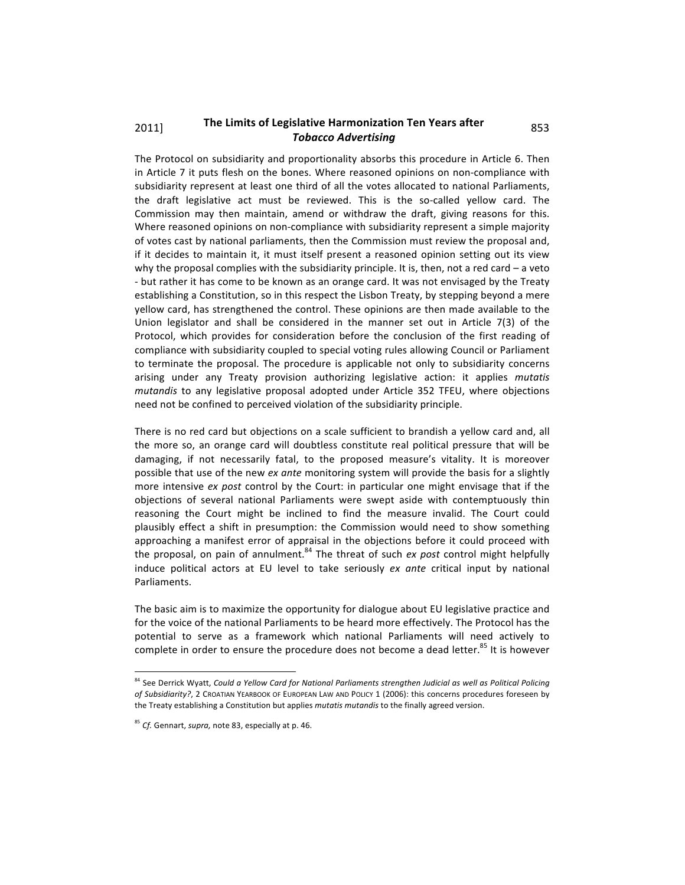## 2011] The Limits of Legislative Harmonization Ten Years after 853 *Tobacco
Advertising*

The Protocol on subsidiarity and proportionality absorbs this procedure in Article 6. Then in Article 7 it puts flesh on the bones. Where reasoned opinions on non-compliance with subsidiarity represent at least one third of all the votes allocated to national Parliaments, the draft legislative act must be reviewed. This is the so-called yellow card. The Commission may then maintain, amend or withdraw the draft, giving reasons for this. Where reasoned opinions on non-compliance with subsidiarity represent a simple majority of
votes
cast
by
national
parliaments,
then
the
Commission
must
review
the
proposal
and, if it decides to maintain it, it must itself present a reasoned opinion setting out its view why the proposal complies with the subsidiarity principle. It is, then, not a red card  $-$  a veto - but rather it has come to be known as an orange card. It was not envisaged by the Treaty establishing a Constitution, so in this respect the Lisbon Treaty, by stepping beyond a mere yellow
card,
has
strengthened
the
control.
These
opinions
are
then
made
available
to
the Union legislator and shall be considered in the manner set out in Article 7(3) of the Protocol, which provides for consideration before the conclusion of the first reading of compliance with subsidiarity coupled to special voting rules allowing Council or Parliament to terminate the proposal. The procedure is applicable not only to subsidiarity concerns arising under any Treaty provision authorizing legislative action: it applies *mutatis mutandis* to any legislative proposal adopted under Article 352 TFEU, where objections need
not
be
confined
to
perceived
violation
of
the
subsidiarity
principle.

There is no red card but objections on a scale sufficient to brandish a yellow card and, all the more so, an orange card will doubtless constitute real political pressure that will be damaging, if not necessarily fatal, to the proposed measure's vitality. It is moreover possible that use of the new ex ante monitoring system will provide the basis for a slightly more intensive ex post control by the Court: in particular one might envisage that if the objections
 of
 several
 national
 Parliaments
 were
 swept
 aside
 with
 contemptuously
 thin reasoning the Court might be inclined to find the measure invalid. The Court could plausibly effect a shift in presumption: the Commission would need to show something approaching a manifest error of appraisal in the objections before it could proceed with the proposal, on pain of annulment.<sup>84</sup> The threat of such ex post control might helpfully induce political actors at EU level to take seriously ex ante critical input by national Parliaments.

The basic aim is to maximize the opportunity for dialogue about EU legislative practice and for the voice of the national Parliaments to be heard more effectively. The Protocol has the potential to serve as a framework which national Parliaments will need actively to complete in order to ensure the procedure does not become a dead letter.<sup>85</sup> It is however

<sup>&</sup>lt;sup>84</sup> See Derrick Wyatt, Could a Yellow Card for National Parliaments strengthen Judicial as well as Political Policing of Subsidiarity?, 2 CROATIAN YEARBOOK OF EUROPEAN LAW AND POLICY 1 (2006): this concerns procedures foreseen by the Treaty establishing a Constitution but applies *mutatis mutandis* to the finally agreed version.

<sup>85</sup>*Cf.*Gennart, *supra,*note
83,
especially
at
p. 46.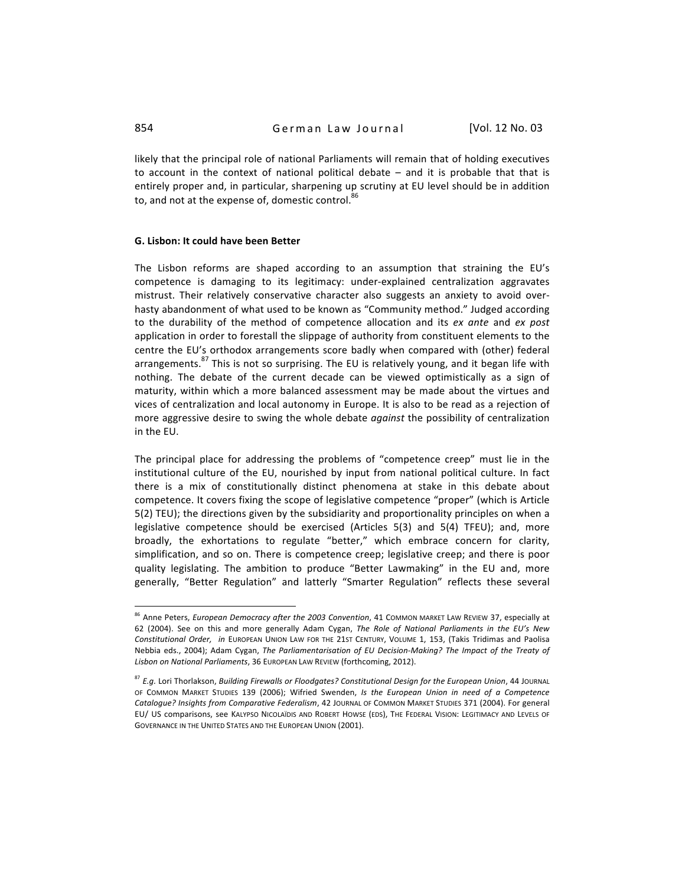likely that the principal role of national Parliaments will remain that of holding executives to account in the context of national political debate  $-$  and it is probable that that is entirely proper and, in particular, sharpening up scrutiny at EU level should be in addition to, and not at the expense of, domestic control.

### **G.
Lisbon:
It
could
have
been
Better**

The Lisbon reforms are shaped according to an assumption that straining the EU's competence is damaging to its legitimacy: under-explained centralization aggravates mistrust. Their relatively conservative character also suggests an anxiety to avoid overhasty abandonment of what used to be known as "Community method." Judged according to the durability of the method of competence allocation and its ex ante and ex post application in order to forestall the slippage of authority from constituent elements to the centre
 the
EU's
orthodox
arrangements
 score
 badly
when
compared
with
 (other)
 federal arrangements.<sup>87</sup> This is not so surprising. The EU is relatively young, and it began life with nothing. The debate of the current decade can be viewed optimistically as a sign of maturity, within which a more balanced assessment may be made about the virtues and vices of centralization and local autonomy in Europe. It is also to be read as a rejection of more aggressive desire to swing the whole debate *against* the possibility of centralization in
the
EU.

The principal place for addressing the problems of "competence creep" must lie in the institutional culture of the EU, nourished by input from national political culture. In fact there is a mix of constitutionally distinct phenomena at stake in this debate about competence. It covers fixing the scope of legislative competence "proper" (which is Article 5(2)
TEU);
the
directions
given
by
the
subsidiarity
and
proportionality
principles
on
when
a legislative competence should be exercised (Articles 5(3) and 5(4) TFEU); and, more broadly, the exhortations to regulate "better," which embrace concern for clarity, simplification, and so on. There is competence creep; legislative creep; and there is poor quality legislating. The ambition to produce "Better Lawmaking" in the EU and, more generally, "Better Regulation" and latterly "Smarter Regulation" reflects these several

<sup>&</sup>lt;sup>86</sup> Anne Peters, European Democracy after the 2003 Convention, 41 COMMON MARKET LAW REVIEW 37, especially at 62 (2004). See on this and more generally Adam Cygan, The Role of National Parliaments in the EU's New Constitutional Order, in EUROPEAN UNION LAW FOR THE 21ST CENTURY, VOLUME 1, 153, (Takis Tridimas and Paolisa Nebbia eds., 2004); Adam Cygan, The Parliamentarisation of EU Decision-Making? The Impact of the Treaty of Lisbon on National Parliaments, 36 EUROPEAN LAW REVIEW (forthcoming, 2012).

<sup>&</sup>lt;sup>87</sup> E.g. Lori Thorlakson, Building Firewalls or Floodgates? Constitutional Design for the European Union, 44 JOURNAL OF COMMON MARKET STUDIES 139 (2006); Wifried Swenden, Is the European Union in need of a Competence Catalogue? Insights from Comparative Federalism, 42 JOURNAL OF COMMON MARKET STUDIES 371 (2004). For general EU/ US comparisons, see KALYPSO NICOLAÏDIS AND ROBERT HOWSE (EDS), THE FEDERAL VISION: LEGITIMACY AND LEVELS OF GOVERNANCE IN THE UNITED STATES AND THE EUROPEAN UNION (2001).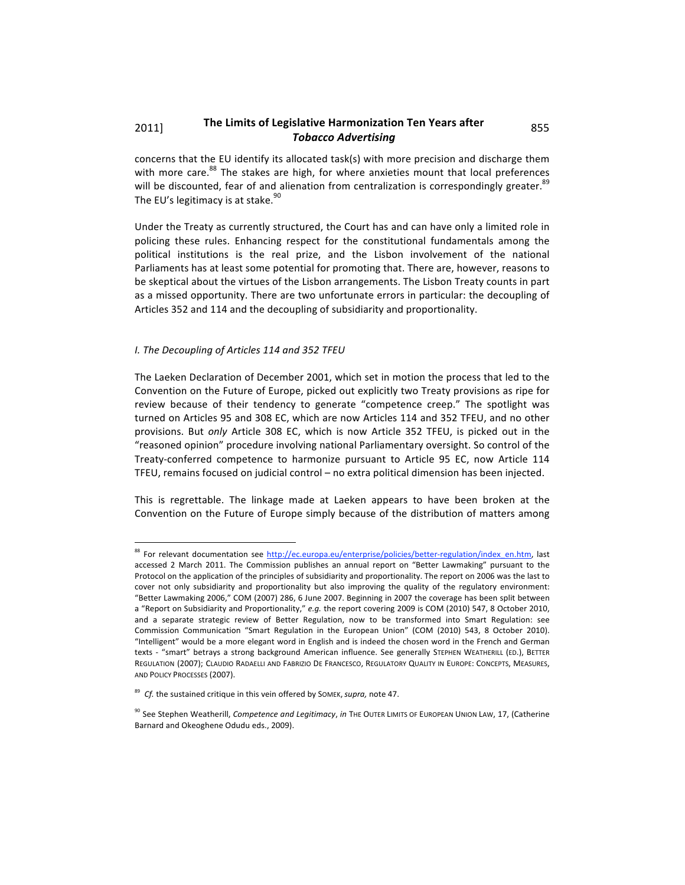## 2011] The Limits of Legislative Harmonization Ten Years after 855 *Tobacco
Advertising*

concerns that the EU identify its allocated task(s) with more precision and discharge them with more care.<sup>88</sup> The stakes are high, for where anxieties mount that local preferences will be discounted, fear of and alienation from centralization is correspondingly greater.<sup>89</sup> The EU's legitimacy is at stake.<sup>90</sup>

Under the Treaty as currently structured, the Court has and can have only a limited role in policing these rules. Enhancing respect for the constitutional fundamentals among the political institutions is the real prize, and the Lisbon involvement of the national Parliaments has at least some potential for promoting that. There are, however, reasons to be skeptical about the virtues of the Lisbon arrangements. The Lisbon Treaty counts in part as a missed opportunity. There are two unfortunate errors in particular: the decoupling of Articles
352
and
114
and
the
decoupling
of
subsidiarity
and
proportionality.

## *I.
The
Decoupling
of
Articles
114
and
352
TFEU*

The Laeken Declaration of December 2001, which set in motion the process that led to the Convention on the Future of Europe, picked out explicitly two Treaty provisions as ripe for review because of their tendency to generate "competence creep." The spotlight was turned on Articles 95 and 308 EC, which are now Articles 114 and 352 TFEU, and no other provisions. But only Article 308 EC, which is now Article 352 TFEU, is picked out in the "reasoned opinion" procedure involving national Parliamentary oversight. So control of the Treaty-conferred competence to harmonize pursuant to Article 95 EC, now Article 114 TFEU, remains focused on judicial control - no extra political dimension has been injected.

This is regrettable. The linkage made at Laeken appears to have been broken at the Convention on the Future of Europe simply because of the distribution of matters among

<sup>&</sup>lt;sup>88</sup> For relevant documentation see http://ec.europa.eu/enterprise/policies/better-regulation/index\_en.htm, last accessed 2 March 2011. The Commission publishes an annual report on "Better Lawmaking" pursuant to the Protocol on the application of the principles of subsidiarity and proportionality. The report on 2006 was the last to cover not only subsidiarity and proportionality but also improving the quality of the regulatory environment: "Better Lawmaking 2006," COM (2007) 286, 6 June 2007. Beginning in 2007 the coverage has been split between a "Report on Subsidiarity and Proportionality," e.g. the report covering 2009 is COM (2010) 547, 8 October 2010, and a separate strategic review of Better Regulation, now to be transformed into Smart Regulation: see Commission Communication "Smart Regulation in the European Union" (COM (2010) 543, 8 October 2010). "Intelligent" would be a more elegant word in English and is indeed the chosen word in the French and German texts - "smart" betrays a strong background American influence. See generally STEPHEN WEATHERILL (ED.), BETTER REGULATION (2007); CLAUDIO RADAELLI AND FABRIZIO DE FRANCESCO, REGULATORY QUALITY IN EUROPE: CONCEPTS, MEASURES, AND
POLICY
PROCESSES
(2007).

<sup>&</sup>lt;sup>89</sup> Cf. the sustained critique in this vein offered by SOMEK, supra, note 47.

<sup>&</sup>lt;sup>90</sup> See Stephen Weatherill, Competence and Legitimacy, in THE OUTER LIMITS OF EUROPEAN UNION LAW, 17, (Catherine Barnard
and
Okeoghene
Odudu
eds.,
2009).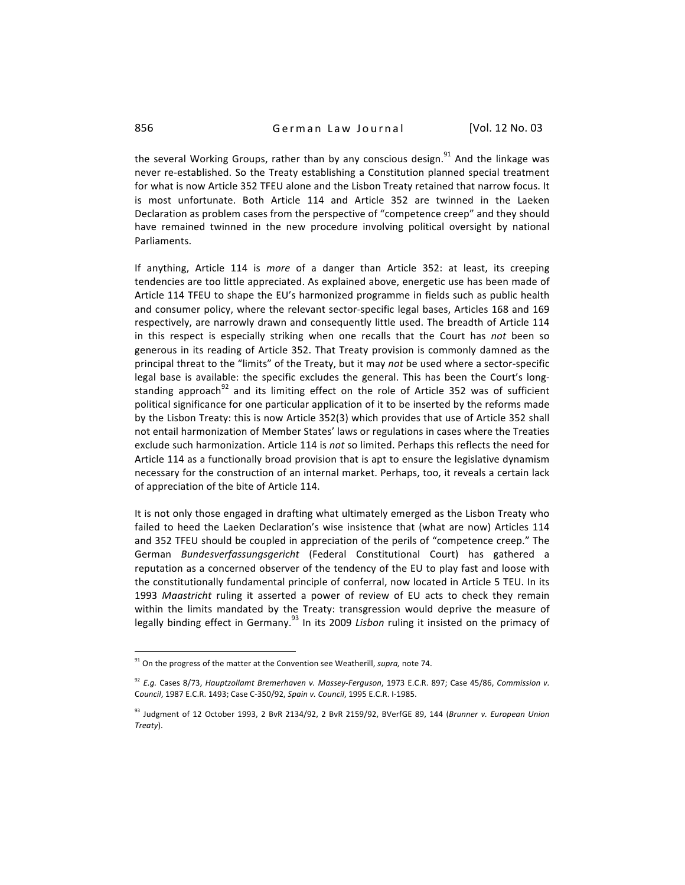the several Working Groups, rather than by any conscious design.<sup>91</sup> And the linkage was never re-established. So the Treaty establishing a Constitution planned special treatment for what is now Article 352 TFEU alone and the Lisbon Treaty retained that narrow focus. It is most unfortunate. Both Article 114 and Article 352 are twinned in the Laeken Declaration
as
problem
cases
from
the
perspective
of
"competence
creep"
and
they
should have remained twinned in the new procedure involving political oversight by national Parliaments.

If anything, Article 114 is *more* of a danger than Article 352: at least, its creeping tendencies are too little appreciated. As explained above, energetic use has been made of Article 114 TFEU to shape the EU's harmonized programme in fields such as public health and consumer policy, where the relevant sector-specific legal bases, Articles 168 and 169 respectively, are narrowly drawn and consequently little used. The breadth of Article 114 in this respect is especially striking when one recalls that the Court has not been so generous in its reading of Article 352. That Treaty provision is commonly damned as the principal threat to the "limits" of the Treaty, but it may not be used where a sector-specific legal base is available: the specific excludes the general. This has been the Court's longstanding approach<sup>92</sup> and its limiting effect on the role of Article 352 was of sufficient political significance for one particular application of it to be inserted by the reforms made by the Lisbon Treaty: this is now Article 352(3) which provides that use of Article 352 shall not
entail
harmonization
of
Member
States'
laws
or
regulations
in
cases
where
the
Treaties exclude such harmonization. Article 114 is not so limited. Perhaps this reflects the need for Article 114 as a functionally broad provision that is apt to ensure the legislative dynamism necessary for the construction of an internal market. Perhaps, too, it reveals a certain lack of appreciation of the bite of Article 114.

It is not only those engaged in drafting what ultimately emerged as the Lisbon Treaty who failed to heed the Laeken Declaration's wise insistence that (what are now) Articles 114 and 352 TFEU should be coupled in appreciation of the perils of "competence creep." The German Bundesverfassungsgericht (Federal Constitutional Court) has gathered a reputation as a concerned observer of the tendency of the EU to play fast and loose with the constitutionally fundamental principle of conferral, now located in Article 5 TEU. In its 1993 Maastricht ruling it asserted a power of review of EU acts to check they remain within the limits mandated by the Treaty: transgression would deprive the measure of legally binding effect in Germany.<sup>93</sup> In its 2009 *Lisbon* ruling it insisted on the primacy of

<sup>&</sup>lt;sup>91</sup> On the progress of the matter at the Convention see Weatherill, *supra*, note 74.

<sup>&</sup>lt;sup>92</sup> E.g. Cases 8/73, Hauptzollamt Bremerhaven v. Massey-Ferguson, 1973 E.C.R. 897; Case 45/86, Commission v. C*ouncil*,
1987
E.C.R.
1493;
Case
C‐350/92,*Spain
v.
Council*,
1995
E.C.R.
I‐1985.

<sup>&</sup>lt;sup>93</sup> Judgment of 12 October 1993, 2 BvR 2134/92, 2 BvR 2159/92, BVerfGE 89, 144 (*Brunner v. European Union Treaty*).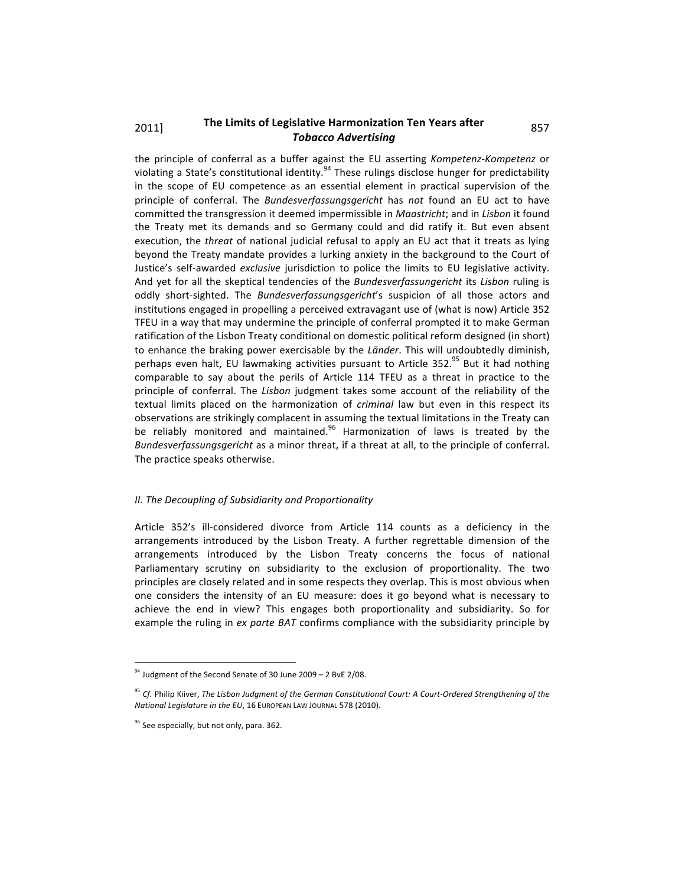## 2011] The Limits of Legislative Harmonization Ten Years after 857 *Tobacco
Advertising*

the principle of conferral as a buffer against the EU asserting Kompetenz-Kompetenz or violating a State's constitutional identity.<sup>94</sup> These rulings disclose hunger for predictability in the scope of EU competence as an essential element in practical supervision of the principle of conferral. The *Bundesverfassungsgericht* has *not* found an EU act to have committed the transgression it deemed impermissible in *Maastricht*; and in *Lisbon* it found the Treaty met its demands and so Germany could and did ratify it. But even absent execution, the *threat* of national judicial refusal to apply an EU act that it treats as lying beyond the Treaty mandate provides a lurking anxiety in the background to the Court of Justice's self-awarded *exclusive* jurisdiction to police the limits to EU legislative activity. And yet for all the skeptical tendencies of the *Bundesverfassungericht* its *Lisbon* ruling is oddly short-sighted. The *Bundesverfassungsgericht's* suspicion of all those actors and institutions
engaged
in
propelling
a
perceived
extravagant
use
of
(what
is
now)
Article
352 TFEU in a way that may undermine the principle of conferral prompted it to make German ratification of the Lisbon Treaty conditional on domestic political reform designed (in short) to enhance the braking power exercisable by the *Länder*. This will undoubtedly diminish, perhaps even halt, EU lawmaking activities pursuant to Article 352.<sup>95</sup> But it had nothing comparable to say about the perils of Article 114 TFEU as a threat in practice to the principle of conferral. The Lisbon judgment takes some account of the reliability of the textual limits placed on the harmonization of *criminal* law but even in this respect its observations are strikingly complacent in assuming the textual limitations in the Treaty can be reliably monitored and maintained.<sup>96</sup> Harmonization of laws is treated by the Bundesverfassungsgericht as a minor threat, if a threat at all, to the principle of conferral. The
practice
speaks
otherwise.

#### *II.
The
Decoupling
of
Subsidiarity
and
Proportionality*

Article 352's ill-considered divorce from Article 114 counts as a deficiency in the arrangements introduced by the Lisbon Treaty. A further regrettable dimension of the arrangements
 introduced
 by
 the
 Lisbon
 Treaty
 concerns
 the
 focus
 of
 national Parliamentary scrutiny on subsidiarity to the exclusion of proportionality. The two principles
are
closely
related
and
in
some
respects
they
overlap.
This
is
most
obvious
when one considers the intensity of an EU measure: does it go beyond what is necessary to achieve the end in view? This engages both proportionality and subsidiarity. So for example the ruling in ex parte BAT confirms compliance with the subsidiarity principle by

 $34$  Judgment of the Second Senate of 30 June 2009 - 2 BvE 2/08.

<sup>&</sup>lt;sup>95</sup> Cf. Philip Kiiver, The Lisbon Judgment of the German Constitutional Court: A Court-Ordered Strengthening of the National Legislature in the EU, 16 EUROPEAN LAW JOURNAL 578 (2010).

<sup>&</sup>lt;sup>96</sup> See especially, but not only, para. 362.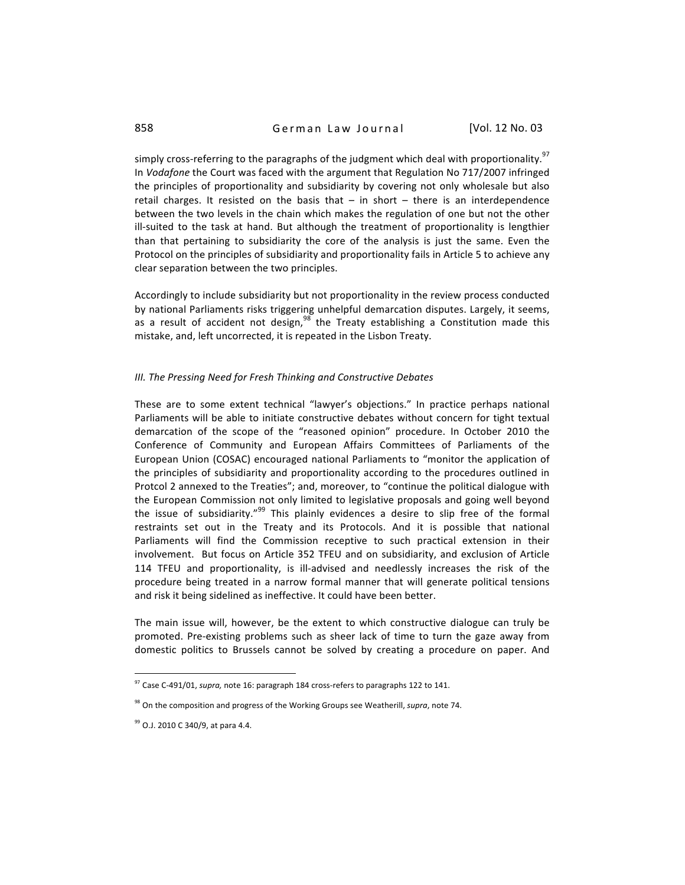simply cross-referring to the paragraphs of the judgment which deal with proportionality.<sup>97</sup> In *Vodafone* the Court was faced with the argument that Regulation No 717/2007 infringed the principles of proportionality and subsidiarity by covering not only wholesale but also retail charges. It resisted on the basis that  $-$  in short  $-$  there is an interdependence between the two levels in the chain which makes the regulation of one but not the other ill-suited to the task at hand. But although the treatment of proportionality is lengthier than that pertaining to subsidiarity the core of the analysis is just the same. Even the Protocol on the principles of subsidiarity and proportionality fails in Article 5 to achieve any clear
separation
between
the
two
principles.

Accordingly to include subsidiarity but not proportionality in the review process conducted by national Parliaments risks triggering unhelpful demarcation disputes. Largely, it seems, as a result of accident not design,<sup>98</sup> the Treaty establishing a Constitution made this mistake,
and,
left
uncorrected,
it
is
repeated
in
the
Lisbon
Treaty.

#### *III.
The
Pressing
Need
for
Fresh
Thinking
and
Constructive
Debates*

These are to some extent technical "lawyer's objections." In practice perhaps national Parliaments will be able to initiate constructive debates without concern for tight textual demarcation of the scope of the "reasoned opinion" procedure. In October 2010 the Conference of Community and European Affairs Committees of Parliaments of the European Union (COSAC) encouraged national Parliaments to "monitor the application of the principles of subsidiarity and proportionality according to the procedures outlined in Protcol 2 annexed to the Treaties"; and, moreover, to "continue the political dialogue with the European Commission not only limited to legislative proposals and going well beyond the issue of subsidiarity."<sup>99</sup> This plainly evidences a desire to slip free of the formal restraints set out in the Treaty and its Protocols. And it is possible that national Parliaments will find the Commission receptive to such practical extension in their involvement. But focus on Article 352 TFEU and on subsidiarity, and exclusion of Article 114 TFEU and proportionality, is ill-advised and needlessly increases the risk of the procedure being treated in a narrow formal manner that will generate political tensions and
risk
it
being
sidelined
as
ineffective.
It
could
have
been
better.

The main issue will, however, be the extent to which constructive dialogue can truly be promoted.
 Pre‐existing
 problems
 such
 as
 sheer
 lack
 of
 time
 to
 turn
 the
 gaze
 away
 from domestic politics to Brussels cannot be solved by creating a procedure on paper. And

<sup>&</sup>lt;sup>97</sup> Case C-491/01, *supra*, note 16: paragraph 184 cross-refers to paragraphs 122 to 141.

<sup>&</sup>lt;sup>98</sup> On the composition and progress of the Working Groups see Weatherill, *supra*, note 74.

<sup>&</sup>lt;sup>99</sup> O.J. 2010 C 340/9, at para 4.4.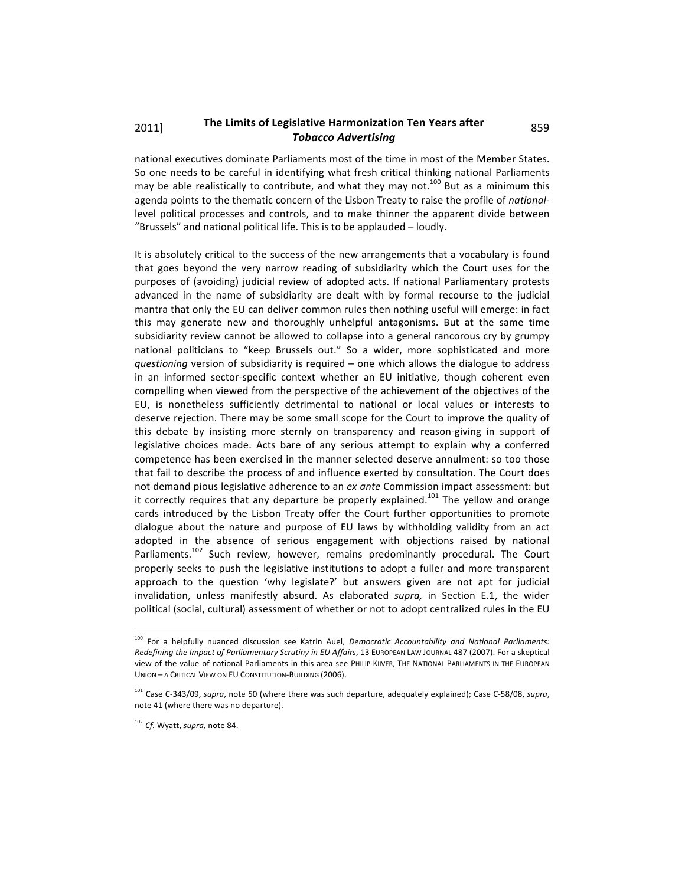## 2011] The Limits of Legislative Harmonization Ten Years after 859 *Tobacco
Advertising*

national executives dominate Parliaments most of the time in most of the Member States. So one needs to be careful in identifying what fresh critical thinking national Parliaments may be able realistically to contribute, and what they may not.<sup>100</sup> But as a minimum this agenda points to the thematic concern of the Lisbon Treaty to raise the profile of nationallevel political processes and controls, and to make thinner the apparent divide between "Brussels"
and
national
political
life.
This
is
to
be
applauded
–
loudly.

It is absolutely critical to the success of the new arrangements that a vocabulary is found that goes beyond the very narrow reading of subsidiarity which the Court uses for the purposes of (avoiding) judicial review of adopted acts. If national Parliamentary protests advanced in the name of subsidiarity are dealt with by formal recourse to the judicial mantra that only the EU can deliver common rules then nothing useful will emerge: in fact this may generate new and thoroughly unhelpful antagonisms. But at the same time subsidiarity review cannot be allowed to collapse into a general rancorous cry by grumpy national politicians to "keep Brussels out." So a wider, more sophisticated and more questioning version of subsidiarity is required - one which allows the dialogue to address in
 an
 informed
 sector‐specific
 context
 whether
 an
 EU
 initiative,
 though
 coherent
 even compelling when viewed from the perspective of the achievement of the objectives of the EU, is nonetheless sufficiently detrimental to national or local values or interests to deserve rejection. There may be some small scope for the Court to improve the quality of this debate by insisting more sternly on transparency and reason-giving in support of legislative choices made. Acts bare of any serious attempt to explain why a conferred competence
has
been
exercised
in
the
manner
selected
deserve
annulment:
so
too
those that
fail
to
describe
the
process
of
and
influence
exerted
by
consultation.
The
Court
does not
demand
pious
legislative
adherence
to
an *ex
ante*Commission
impact
assessment:
but it correctly requires that any departure be properly explained.<sup>101</sup> The yellow and orange cards introduced by the Lisbon Treaty offer the Court further opportunities to promote dialogue about the nature and purpose of EU laws by withholding validity from an act adopted in the absence of serious engagement with objections raised by national Parliaments.<sup>102</sup> Such review, however, remains predominantly procedural. The Court properly seeks to push the legislative institutions to adopt a fuller and more transparent approach to the question 'why legislate?' but answers given are not apt for judicial invalidation, unless manifestly absurd. As elaborated *supra*, in Section E.1, the wider political (social, cultural) assessment of whether or not to adopt centralized rules in the EU

<sup>&</sup>lt;sup>100</sup> For a helpfully nuanced discussion see Katrin Auel, Democratic Accountability and National Parliaments: Redefining the Impact of Parliamentary Scrutiny in EU Affairs, 13 EUROPEAN LAW JOURNAL 487 (2007). For a skeptical View of the value of national Parliaments in this area see PHILIP KIIVER, THE NATIONAL PARLIAMENTS IN THE EUROPEAN UNION - A CRITICAL VIEW ON EU CONSTITUTION-BUILDING (2006).

<sup>&</sup>lt;sup>101</sup> Case C-343/09, supra, note 50 (where there was such departure, adequately explained); Case C-58/08, supra, note
41
(where
there
was
no
departure).

<sup>102</sup> *Cf.*Wyatt, *supra,*note
84.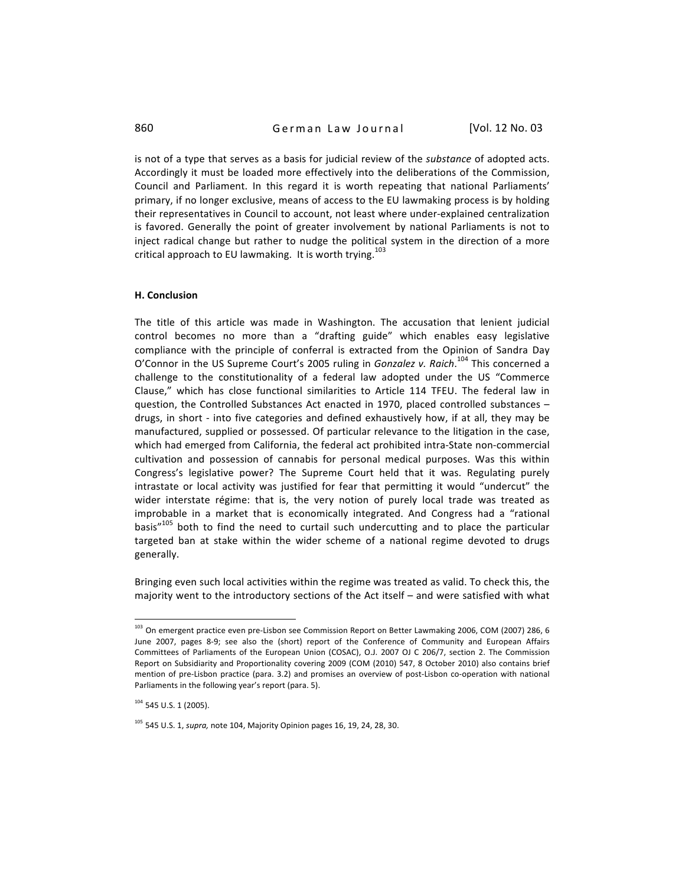is not of a type that serves as a basis for judicial review of the *substance* of adopted acts. Accordingly it must be loaded more effectively into the deliberations of the Commission, Council and Parliament. In this regard it is worth repeating that national Parliaments' primary,
if
no
longer
exclusive,
means
of
access
to
the
EU
lawmaking
process
is
by
holding their representatives in Council to account, not least where under-explained centralization is favored. Generally the point of greater involvement by national Parliaments is not to inject radical change but rather to nudge the political system in the direction of a more critical approach to EU lawmaking. It is worth trying.<sup>103</sup>

#### **H.
Conclusion**

The title of this article was made in Washington. The accusation that lenient judicial control becomes no more than a "drafting guide" which enables easy legislative compliance with the principle of conferral is extracted from the Opinion of Sandra Day O'Connor in the US Supreme Court's 2005 ruling in Gonzalez v. Raich.<sup>104</sup> This concerned a challenge to the constitutionality of a federal law adopted under the US "Commerce Clause," which has close functional similarities to Article 114 TFEU. The federal law in question, the Controlled Substances Act enacted in 1970, placed controlled substances drugs, in short - into five categories and defined exhaustively how, if at all, they may be manufactured,
supplied
or
possessed.
Of
particular
relevance
to
the
litigation
in
the
case, which had emerged from California, the federal act prohibited intra-State non-commercial cultivation and possession of cannabis for personal medical purposes. Was this within Congress's legislative power? The Supreme Court held that it was. Regulating purely intrastate or local activity was justified for fear that permitting it would "undercut" the wider interstate régime: that is, the very notion of purely local trade was treated as improbable in a market that is economically integrated. And Congress had a "rational basis"<sup>105</sup> both to find the need to curtail such undercutting and to place the particular targeted ban at stake within the wider scheme of a national regime devoted to drugs generally.

Bringing even such local activities within the regime was treated as valid. To check this, the majority went to the introductory sections of the Act itself - and were satisfied with what

<sup>&</sup>lt;sup>103</sup> On emergent practice even pre-Lisbon see Commission Report on Better Lawmaking 2006, COM (2007) 286, 6 June 2007, pages 8-9; see also the (short) report of the Conference of Community and European Affairs Committees of Parliaments of the European Union (COSAC), O.J. 2007 OJ C 206/7, section 2. The Commission Report on Subsidiarity and Proportionality covering 2009 (COM (2010) 547, 8 October 2010) also contains brief mention of pre-Lisbon practice (para. 3.2) and promises an overview of post-Lisbon co-operation with national Parliaments in the following year's report (para. 5).

 $104$  545 U.S. 1 (2005).

<sup>&</sup>lt;sup>105</sup> 545 U.S. 1, *supra*, note 104, Majority Opinion pages 16, 19, 24, 28, 30.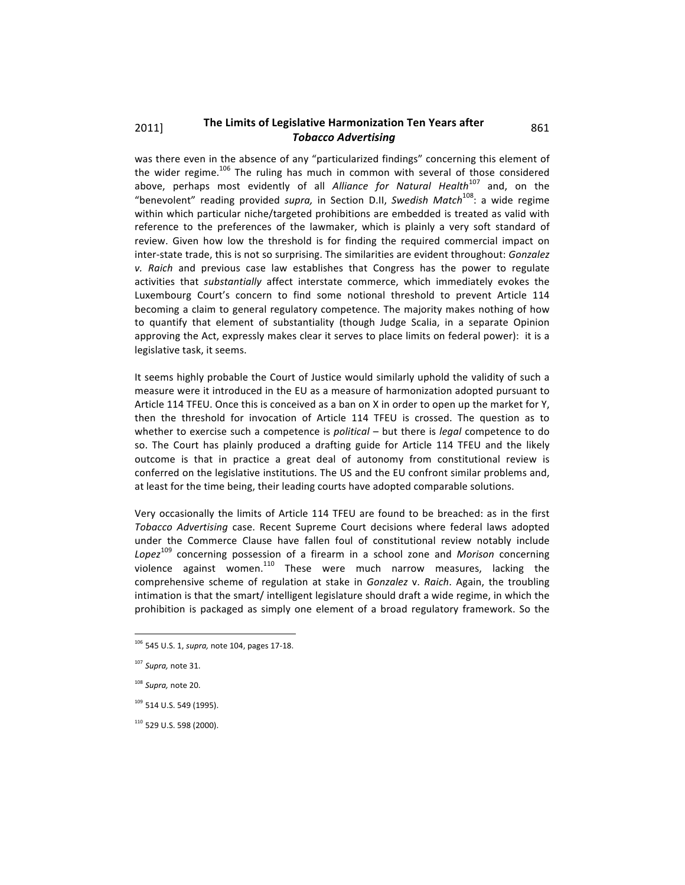## 2011] The Limits of Legislative Harmonization Ten Years after 861 *Tobacco
Advertising*

was there even in the absence of any "particularized findings" concerning this element of the wider regime.<sup>106</sup> The ruling has much in common with several of those considered above, perhaps most evidently of all Alliance for Natural Health<sup>107</sup> and, on the "benevolent" reading provided supra, in Section D.II, Swedish Match<sup>108</sup>: a wide regime within which particular niche/targeted prohibitions are embedded is treated as valid with reference to the preferences of the lawmaker, which is plainly a very soft standard of review. Given how low the threshold is for finding the required commercial impact on inter-state trade, this is not so surprising. The similarities are evident throughout: *Gonzalez* v. Raich and previous case law establishes that Congress has the power to regulate activities that *substantially* affect interstate commerce, which immediately evokes the Luxembourg Court's concern to find some notional threshold to prevent Article 114 becoming a claim to general regulatory competence. The majority makes nothing of how to quantify that element of substantiality (though Judge Scalia, in a separate Opinion approving the Act, expressly makes clear it serves to place limits on federal power): it is a legislative
task,
it
seems.

It seems highly probable the Court of Justice would similarly uphold the validity of such a measure were it introduced in the EU as a measure of harmonization adopted pursuant to Article 114 TFEU. Once this is conceived as a ban on X in order to open up the market for Y, then the threshold for invocation of Article 114 TFEU is crossed. The question as to whether to exercise such a competence is *political* – but there is *legal* competence to do so. The Court has plainly produced a drafting guide for Article 114 TFEU and the likely outcome is that in practice a great deal of autonomy from constitutional review is conferred on the legislative institutions. The US and the EU confront similar problems and, at
least
for
the
time
being,
their
leading
courts
have
adopted
comparable
solutions.

Very occasionally the limits of Article 114 TFEU are found to be breached: as in the first Tobacco Advertising case. Recent Supreme Court decisions where federal laws adopted under the Commerce Clause have fallen foul of constitutional review notably include Lopez<sup>109</sup> concerning possession of a firearm in a school zone and *Morison* concerning violence against women.<sup>110</sup> These were much narrow measures, lacking the comprehensive scheme of regulation at stake in *Gonzalez* v. Raich. Again, the troubling intimation is that the smart/intelligent legislature should draft a wide regime, in which the prohibition is packaged as simply one element of a broad regulatory framework. So the

 $\overline{a}$ 

110
529
U.S.
598
(2000).

<sup>106</sup> 545
U.S.
1, *supra,*note
104,
pages
17‐18.

<sup>107</sup>*Supra,*note
31.

<sup>108</sup>*Supra,*note
20.

<sup>&</sup>lt;sup>109</sup> 514 U.S. 549 (1995).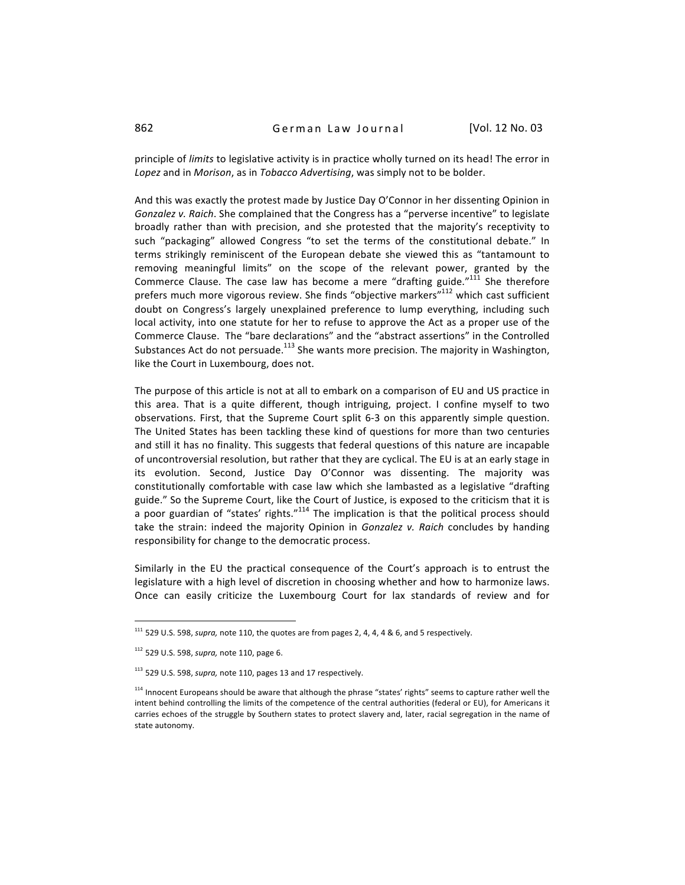principle of *limits* to legislative activity is in practice wholly turned on its head! The error in Lopez and in Morison, as in Tobacco Advertising, was simply not to be bolder.

And
this
was
exactly
the
protest
made
by
Justice
Day
O'Connor
in
her
dissenting
Opinion
in Gonzalez v. Raich. She complained that the Congress has a "perverse incentive" to legislate broadly rather than with precision, and she protested that the majority's receptivity to such "packaging" allowed Congress "to set the terms of the constitutional debate." In terms strikingly reminiscent of the European debate she viewed this as "tantamount to removing meaningful limits" on the scope of the relevant power, granted by the Commerce Clause. The case law has become a mere "drafting guide."<sup>111</sup> She therefore prefers much more vigorous review. She finds "objective markers"<sup>112</sup> which cast sufficient doubt on Congress's largely unexplained preference to lump everything, including such local activity, into one statute for her to refuse to approve the Act as a proper use of the Commerce Clause. The "bare declarations" and the "abstract assertions" in the Controlled Substances Act do not persuade.<sup>113</sup> She wants more precision. The majority in Washington, like
the
Court
in
Luxembourg,
does
not.

The purpose of this article is not at all to embark on a comparison of EU and US practice in this area. That is a quite different, though intriguing, project. I confine myself to two observations. First, that the Supreme Court split 6-3 on this apparently simple question. The United States has been tackling these kind of questions for more than two centuries and still it has no finality. This suggests that federal questions of this nature are incapable of uncontroversial resolution, but rather that they are cyclical. The EU is at an early stage in its evolution. Second, Justice Day O'Connor was dissenting. The majority was constitutionally
 comfortable
with
 case
law
which
 she
lambasted
as
a
legislative
 "drafting guide." So the Supreme Court, like the Court of Justice, is exposed to the criticism that it is a poor guardian of "states' rights."<sup>114</sup> The implication is that the political process should take the strain: indeed the majority Opinion in *Gonzalez v. Raich* concludes by handing responsibility
for
change
to
the
democratic
process.

Similarly in the EU the practical consequence of the Court's approach is to entrust the legislature with a high level of discretion in choosing whether and how to harmonize laws. Once can easily criticize the Luxembourg Court for lax standards of review and for

<sup>&</sup>lt;sup>111</sup> 529 U.S. 598, *supra*, note 110, the quotes are from pages 2, 4, 4, 4 & 6, and 5 respectively.

<sup>112</sup> 529
U.S.
598, *supra,*note
110,
page
6.

<sup>&</sup>lt;sup>113</sup> 529 U.S. 598, *supra*, note 110, pages 13 and 17 respectively.

<sup>&</sup>lt;sup>114</sup> Innocent Europeans should be aware that although the phrase "states' rights" seems to capture rather well the intent behind controlling the limits of the competence of the central authorities (federal or EU), for Americans it carries echoes of the struggle by Southern states to protect slavery and, later, racial segregation in the name of state
autonomy.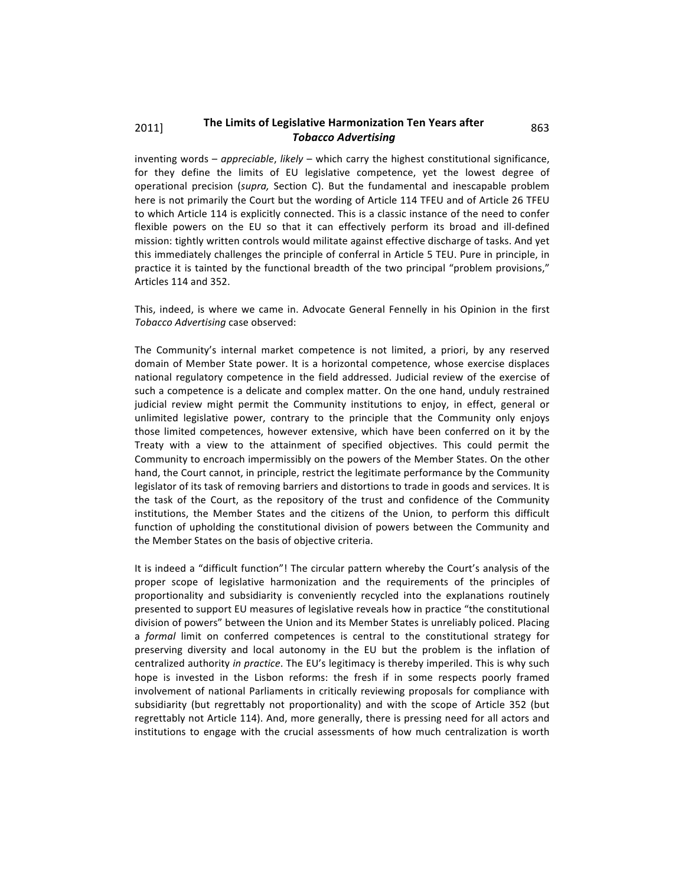## 2011] The Limits of Legislative Harmonization Ten Years after 863 *Tobacco
Advertising*

inventing words – *appreciable*, likely – which carry the highest constitutional significance, for they define the limits of EU legislative competence, yet the lowest degree of operational precision (supra, Section C). But the fundamental and inescapable problem here is not primarily the Court but the wording of Article 114 TFEU and of Article 26 TFEU to which Article 114 is explicitly connected. This is a classic instance of the need to confer flexible powers on the EU so that it can effectively perform its broad and ill-defined mission:
tightly
written
controls
would
militate
against
effective
discharge
of
tasks.
And
yet this immediately challenges the principle of conferral in Article 5 TEU. Pure in principle, in practice it is tainted by the functional breadth of the two principal "problem provisions," Articles
114
and
352.

This, indeed, is where we came in. Advocate General Fennelly in his Opinion in the first *Tobacco
Advertising*case
observed:

The Community's internal market competence is not limited, a priori, by any reserved domain of Member State power. It is a horizontal competence, whose exercise displaces national regulatory competence in the field addressed. Judicial review of the exercise of such a competence is a delicate and complex matter. On the one hand, unduly restrained judicial review might permit the Community institutions to enjoy, in effect, general or unlimited legislative power, contrary to the principle that the Community only enjoys those limited competences, however extensive, which have been conferred on it by the Treaty with a view to the attainment of specified objectives. This could permit the Community to encroach impermissibly on the powers of the Member States. On the other hand, the Court cannot, in principle, restrict the legitimate performance by the Community legislator of its task of removing barriers and distortions to trade in goods and services. It is the task of the Court, as the repository of the trust and confidence of the Community institutions, the Member States and the citizens of the Union, to perform this difficult function of upholding the constitutional division of powers between the Community and the
Member
States
on
the
basis
of
objective
criteria.

It is indeed a "difficult function"! The circular pattern whereby the Court's analysis of the proper scope of legislative harmonization and the requirements of the principles of proportionality and subsidiarity is conveniently recycled into the explanations routinely presented
to
support
EU
measures
of
legislative
reveals
how
in
practice
"the
constitutional division
of
powers"
between
the
Union
and
its
Member
States
is
unreliably
policed.
Placing a *formal* limit on conferred competences is central to the constitutional strategy for preserving diversity and local autonomy in the EU but the problem is the inflation of centralized authority *in practice*. The EU's legitimacy is thereby imperiled. This is why such hope is invested in the Lisbon reforms: the fresh if in some respects poorly framed involvement of national Parliaments in critically reviewing proposals for compliance with subsidiarity (but regrettably not proportionality) and with the scope of Article 352 (but regrettably not Article 114). And, more generally, there is pressing need for all actors and institutions to engage with the crucial assessments of how much centralization is worth